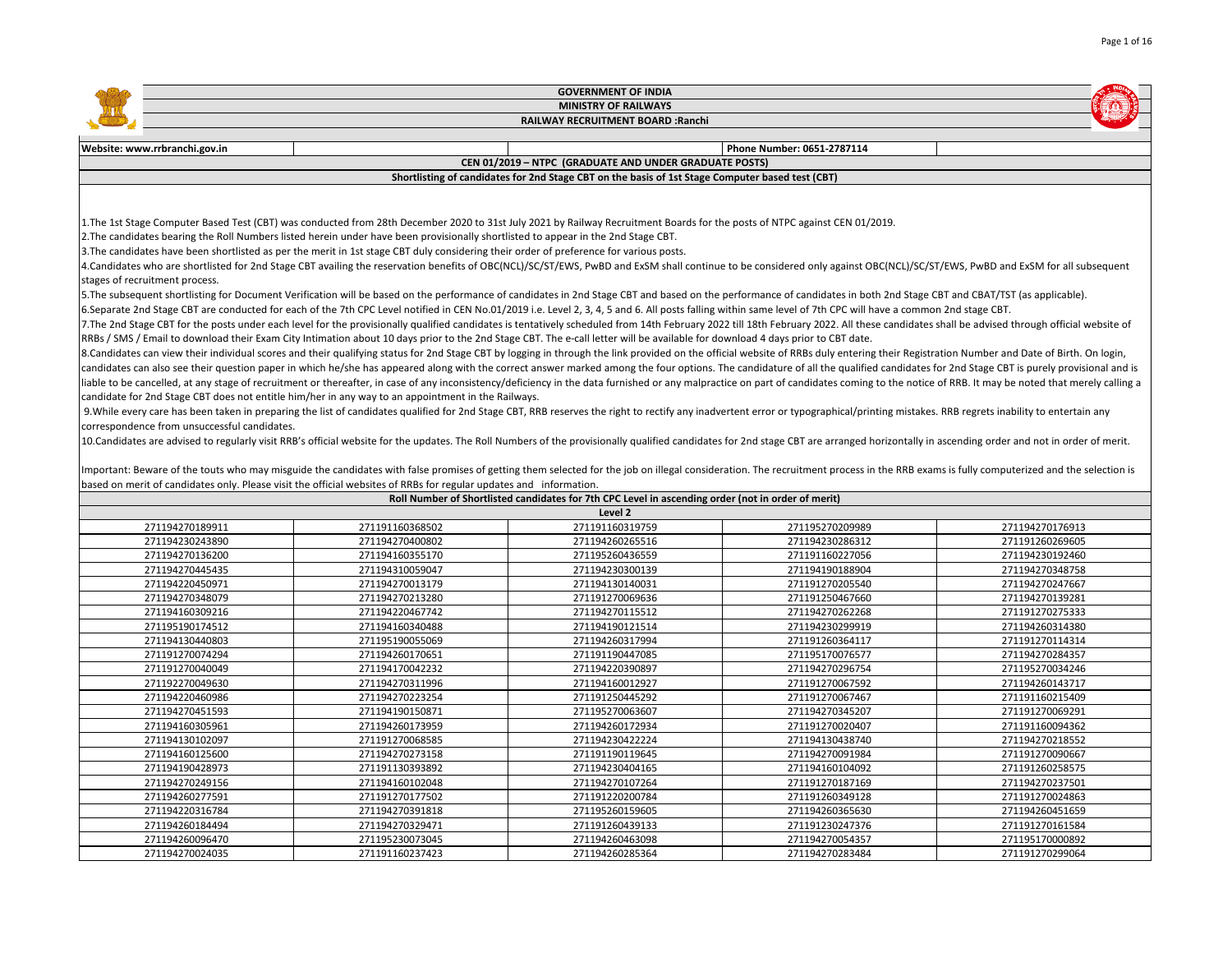|                                              |                                                                                                                                                                                                                                | <b>GOVERNMENT OF INDIA</b>                                                                         |                            |                 |
|----------------------------------------------|--------------------------------------------------------------------------------------------------------------------------------------------------------------------------------------------------------------------------------|----------------------------------------------------------------------------------------------------|----------------------------|-----------------|
|                                              |                                                                                                                                                                                                                                | <b>MINISTRY OF RAILWAYS</b>                                                                        |                            |                 |
|                                              |                                                                                                                                                                                                                                | RAILWAY RECRUITMENT BOARD : Ranchi                                                                 |                            |                 |
|                                              |                                                                                                                                                                                                                                |                                                                                                    |                            |                 |
| Website: www.rrbranchi.gov.in                |                                                                                                                                                                                                                                |                                                                                                    | Phone Number: 0651-2787114 |                 |
|                                              |                                                                                                                                                                                                                                | CEN 01/2019 - NTPC (GRADUATE AND UNDER GRADUATE POSTS)                                             |                            |                 |
|                                              |                                                                                                                                                                                                                                | Shortlisting of candidates for 2nd Stage CBT on the basis of 1st Stage Computer based test (CBT)   |                            |                 |
|                                              |                                                                                                                                                                                                                                |                                                                                                    |                            |                 |
|                                              |                                                                                                                                                                                                                                |                                                                                                    |                            |                 |
|                                              | 1. The 1st Stage Computer Based Test (CBT) was conducted from 28th December 2020 to 31st July 2021 by Railway Recruitment Boards for the posts of NTPC against CEN 01/2019.                                                    |                                                                                                    |                            |                 |
|                                              | 2. The candidates bearing the Roll Numbers listed herein under have been provisionally shortlisted to appear in the 2nd Stage CBT.                                                                                             |                                                                                                    |                            |                 |
|                                              | 3. The candidates have been shortlisted as per the merit in 1st stage CBT duly considering their order of preference for various posts.                                                                                        |                                                                                                    |                            |                 |
|                                              | 4.Candidates who are shortlisted for 2nd Stage CBT availing the reservation benefits of OBC(NCL)/SC/ST/EWS, PwBD and ExSM shall continue to be considered only against OBC(NCL)/SC/ST/EWS, PwBD and ExSM for all subsequent    |                                                                                                    |                            |                 |
| stages of recruitment process.               |                                                                                                                                                                                                                                |                                                                                                    |                            |                 |
|                                              | 5. The subsequent shortlisting for Document Verification will be based on the performance of candidates in 2nd Stage CBT and based on the performance of candidates in both 2nd Stage CBT and CBAT/TST (as applicable).        |                                                                                                    |                            |                 |
|                                              | 6.Separate 2nd Stage CBT are conducted for each of the 7th CPC Level notified in CEN No.01/2019 i.e. Level 2, 3, 4, 5 and 6. All posts falling within same level of 7th CPC will have a common 2nd stage CBT.                  |                                                                                                    |                            |                 |
|                                              | 7. The 2nd Stage CBT for the posts under each level for the provisionally qualified candidates is tentatively scheduled from 14th February 2022 till 18th February 2022. All these candidates shall be advised through officia |                                                                                                    |                            |                 |
|                                              | RRBs / SMS / Email to download their Exam City Intimation about 10 days prior to the 2nd Stage CBT. The e-call letter will be available for download 4 days prior to CBT date.                                                 |                                                                                                    |                            |                 |
|                                              | 8. Candidates can view their individual scores and their qualifying status for 2nd Stage CBT by logging in through the link provided on the official website of RRBs duly entering their Registration Number and Date of Birth |                                                                                                    |                            |                 |
|                                              | candidates can also see their question paper in which he/she has appeared along with the correct answer marked among the four options. The candidature of all the qualified candidates for 2nd Stage CBT is purely provisional |                                                                                                    |                            |                 |
|                                              | liable to be cancelled, at any stage of recruitment or thereafter, in case of any inconsistency/deficiency in the data furnished or any malpractice on part of candidates coming to the notice of RRB. It may be noted that me |                                                                                                    |                            |                 |
|                                              | candidate for 2nd Stage CBT does not entitle him/her in any way to an appointment in the Railways.                                                                                                                             |                                                                                                    |                            |                 |
|                                              | 9. While every care has been taken in preparing the list of candidates qualified for 2nd Stage CBT, RRB reserves the right to rectify any inadvertent error or typographical/printing mistakes. RRB regrets inability to enter |                                                                                                    |                            |                 |
| correspondence from unsuccessful candidates. |                                                                                                                                                                                                                                |                                                                                                    |                            |                 |
|                                              | 10.Candidates are advised to regularly visit RRB's official website for the updates. The Roll Numbers of the provisionally qualified candidates for 2nd stage CBT are arranged horizontally in ascending order and not in orde |                                                                                                    |                            |                 |
|                                              |                                                                                                                                                                                                                                |                                                                                                    |                            |                 |
|                                              | Important: Beware of the touts who may misguide the candidates with false promises of getting them selected for the job on illegal consideration. The recruitment process in the RRB exams is fully computerized and the selec |                                                                                                    |                            |                 |
|                                              | based on merit of candidates only. Please visit the official websites of RRBs for regular updates and information.                                                                                                             |                                                                                                    |                            |                 |
|                                              |                                                                                                                                                                                                                                | Roll Number of Shortlisted candidates for 7th CPC Level in ascending order (not in order of merit) |                            |                 |
|                                              |                                                                                                                                                                                                                                | Level 2                                                                                            |                            |                 |
| 271194270189911                              | 271191160368502                                                                                                                                                                                                                | 271191160319759                                                                                    | 271195270209989            | 271194270176913 |
| 271194230243890                              | 271194270400802                                                                                                                                                                                                                | 271194260265516                                                                                    | 271194230286312            | 271191260269605 |
| 271194270136200                              | 271194160355170                                                                                                                                                                                                                | 271195260436559                                                                                    | 271191160227056            | 271194230192460 |
| 271194270445435                              | 271194310059047                                                                                                                                                                                                                | 271194230300139                                                                                    | 271194190188904            | 271194270348758 |
| 271194220450971                              | 271194270013179                                                                                                                                                                                                                | 271194130140031                                                                                    | 271191270205540            | 271194270247667 |
| 271194270348079                              | 271194270213280                                                                                                                                                                                                                | 271191270069636                                                                                    | 271191250467660            | 271194270139281 |
| 271194160309216                              | 271194220467742                                                                                                                                                                                                                | 271194270115512                                                                                    | 271194270262268            | 271191270275333 |
| 271195190174512                              | 271194160340488                                                                                                                                                                                                                | 271194190121514                                                                                    | 271194230299919            | 271194260314380 |
| 271194130440803                              | 271195190055069                                                                                                                                                                                                                | 271194260317994                                                                                    | 271191260364117            | 271191270114314 |
| 271191270074294                              | 271194260170651                                                                                                                                                                                                                | 271191190447085                                                                                    | 271195170076577            | 271194270284357 |
| 271191270040049                              | 271194170042232                                                                                                                                                                                                                | 271194220390897                                                                                    | 271194270296754            | 271195270034246 |
| 271192270049630                              | 271194270311996                                                                                                                                                                                                                | 271194160012927                                                                                    | 271191270067592            | 271194260143717 |
| 271194220460986                              | 271194270223254                                                                                                                                                                                                                | 271191250445292                                                                                    | 271191270067467            | 271191160215409 |
| 271194270451593                              | 271194190150871                                                                                                                                                                                                                | 271195270063607                                                                                    | 271194270345207            | 271191270069291 |
| 271194160305961                              | 271194260173959                                                                                                                                                                                                                | 271194260172934                                                                                    | 271191270020407            | 271191160094362 |
| 271194130102097                              | 271191270068585                                                                                                                                                                                                                | 271194230422224                                                                                    | 271194130438740            | 271194270218552 |
| 271194160125600                              | 271194270273158                                                                                                                                                                                                                | 271191190119645                                                                                    | 271194270091984            | 271191270090667 |
| 271194190428973                              | 271191130393892                                                                                                                                                                                                                | 271194230404165                                                                                    | 271194160104092            | 271191260258575 |
| 271194270249156                              | 271194160102048                                                                                                                                                                                                                | 271194270107264                                                                                    | 271191270187169            | 271194270237501 |
| 271194260277591                              | 271191270177502                                                                                                                                                                                                                | 271191220200784                                                                                    | 271191260349128            | 271191270024863 |
| 271194220316784                              | 271194270391818                                                                                                                                                                                                                | 271195260159605                                                                                    | 271194260365630            | 271194260451659 |
| 271194260184494                              | 271194270329471                                                                                                                                                                                                                | 271191260439133                                                                                    | 271191230247376            | 271191270161584 |
| 271194260096470                              | 271195230073045                                                                                                                                                                                                                | 271194260463098                                                                                    | 271194270054357            | 271195170000892 |

271194270024035 271191160237423 271194260285364 271194270283484 271191270299064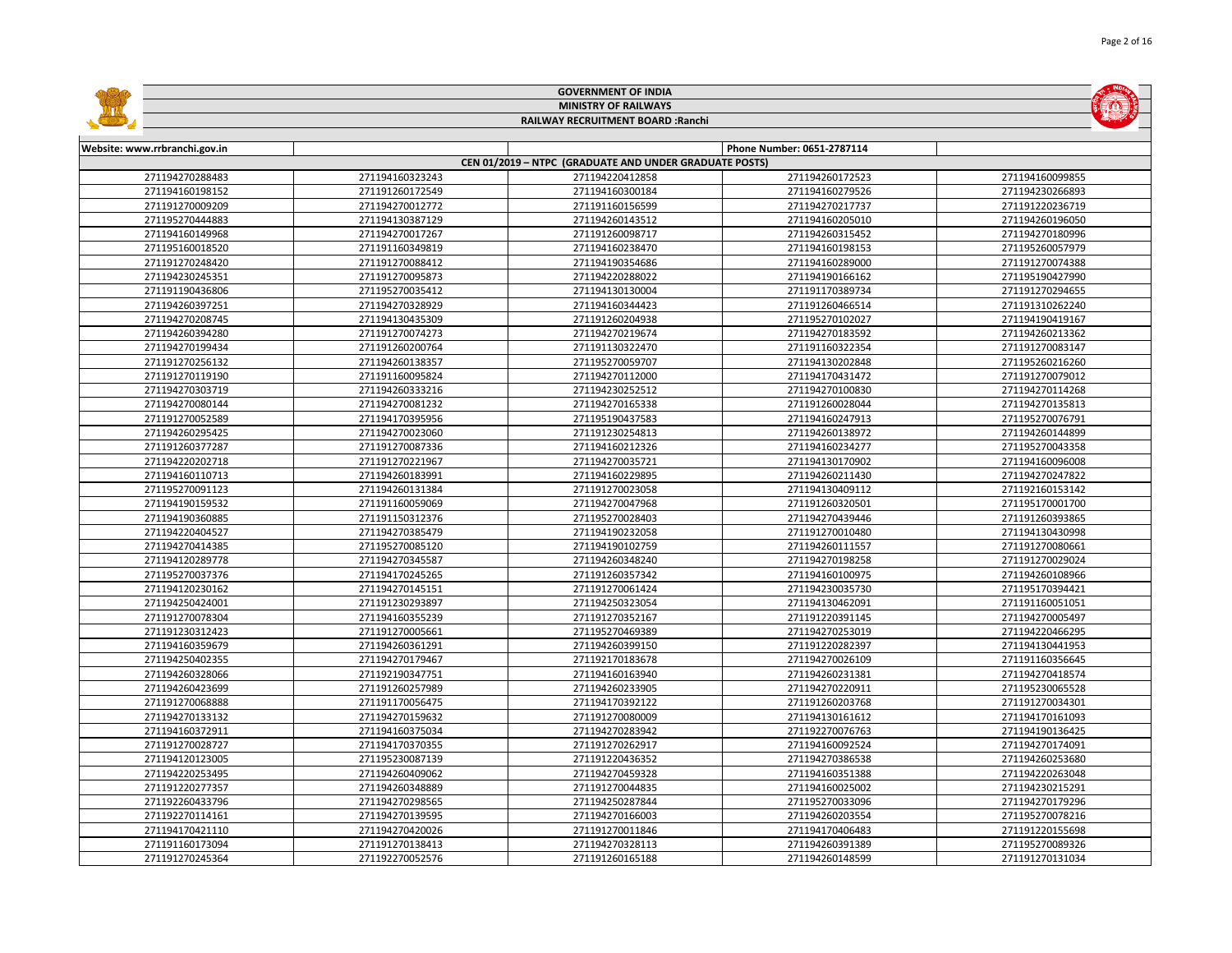|                                    |                                    | <b>GOVERNMENT OF INDIA</b>                             |                                    |                                    |
|------------------------------------|------------------------------------|--------------------------------------------------------|------------------------------------|------------------------------------|
|                                    |                                    | <b>MINISTRY OF RAILWAYS</b>                            |                                    |                                    |
|                                    |                                    | RAILWAY RECRUITMENT BOARD : Ranchi                     |                                    |                                    |
|                                    |                                    |                                                        |                                    |                                    |
| Website: www.rrbranchi.gov.in      |                                    |                                                        | Phone Number: 0651-2787114         |                                    |
|                                    |                                    | CEN 01/2019 - NTPC (GRADUATE AND UNDER GRADUATE POSTS) |                                    |                                    |
| 271194270288483                    | 271194160323243                    | 271194220412858                                        | 271194260172523                    | 271194160099855                    |
| 271194160198152                    | 271191260172549                    | 271194160300184                                        | 271194160279526                    | 271194230266893                    |
| 271191270009209                    | 271194270012772                    | 271191160156599                                        | 271194270217737                    | 271191220236719                    |
| 271195270444883                    | 271194130387129                    | 271194260143512                                        | 271194160205010                    | 271194260196050                    |
| 271194160149968                    | 271194270017267                    | 271191260098717                                        | 271194260315452                    | 271194270180996                    |
| 271195160018520                    | 271191160349819                    | 271194160238470                                        | 271194160198153                    | 271195260057979                    |
| 271191270248420                    | 271191270088412                    | 271194190354686                                        | 271194160289000                    | 271191270074388                    |
| 271194230245351                    | 271191270095873                    | 271194220288022                                        | 271194190166162                    | 271195190427990                    |
| 271191190436806                    | 271195270035412                    | 271194130130004                                        | 271191170389734                    | 271191270294655                    |
| 271194260397251                    | 271194270328929                    | 271194160344423                                        | 271191260466514                    | 271191310262240                    |
| 271194270208745                    | 271194130435309                    | 271191260204938                                        | 271195270102027                    | 271194190419167                    |
| 271194260394280                    | 271191270074273                    | 271194270219674                                        | 271194270183592                    | 271194260213362                    |
| 271194270199434                    | 271191260200764                    | 271191130322470                                        | 271191160322354                    | 271191270083147                    |
| 271191270256132                    | 271194260138357                    | 271195270059707                                        | 271194130202848                    | 271195260216260                    |
| 271191270119190                    | 271191160095824                    | 271194270112000                                        | 271194170431472                    | 271191270079012                    |
| 271194270303719                    | 271194260333216                    | 271194230252512                                        | 271194270100830                    | 271194270114268                    |
| 271194270080144                    | 271194270081232                    | 271194270165338                                        | 271191260028044                    | 271194270135813                    |
| 271191270052589                    | 271194170395956                    | 271195190437583                                        | 271194160247913                    | 271195270076791                    |
| 271194260295425                    | 271194270023060                    | 271191230254813                                        | 271194260138972                    | 271194260144899                    |
| 271191260377287                    | 271191270087336                    | 271194160212326                                        | 271194160234277                    | 271195270043358                    |
| 271194220202718                    | 271191270221967                    | 271194270035721                                        | 271194130170902                    | 271194160096008                    |
| 271194160110713                    | 271194260183991                    | 271194160229895                                        | 271194260211430                    | 271194270247822                    |
| 271195270091123                    | 271194260131384                    | 271191270023058                                        | 271194130409112                    | 271192160153142                    |
| 271194190159532                    | 271191160059069                    | 271194270047968                                        | 271191260320501                    | 271195170001700                    |
| 271194190360885                    | 271191150312376                    | 271195270028403                                        | 271194270439446                    | 271191260393865                    |
| 271194220404527                    | 271194270385479                    | 271194190232058                                        | 271191270010480                    | 271194130430998                    |
| 271194270414385                    | 271195270085120                    | 271194190102759                                        | 271194260111557                    | 271191270080661                    |
| 271194120289778                    | 271194270345587                    | 271194260348240                                        | 271194270198258                    | 271191270029024                    |
| 271195270037376                    | 271194170245265                    | 271191260357342                                        | 271194160100975                    | 271194260108966                    |
| 271194120230162                    | 271194270145151                    | 271191270061424                                        | 271194230035730                    | 271195170394421                    |
| 271194250424001                    | 271191230293897                    | 271194250323054                                        | 271194130462091                    | 271191160051051                    |
| 271191270078304                    | 271194160355239                    | 271191270352167                                        | 271191220391145                    | 271194270005497                    |
| 271191230312423                    | 271191270005661                    | 271195270469389                                        | 271194270253019                    | 271194220466295                    |
| 271194160359679                    | 271194260361291                    | 271194260399150                                        | 271191220282397                    | 271194130441953                    |
| 271194250402355                    | 271194270179467                    | 271192170183678                                        | 271194270026109                    | 271191160356645                    |
| 271194260328066                    | 271192190347751                    | 271194160163940                                        | 271194260231381                    | 271194270418574                    |
| 271194260423699                    | 271191260257989                    | 271194260233905                                        | 271194270220911                    | 271195230065528                    |
| 271191270068888                    | 271191170056475                    | 271194170392122                                        | 271191260203768                    | 271191270034301                    |
| 271194270133132                    | 271194270159632                    | 271191270080009                                        | 271194130161612                    | 271194170161093                    |
| 271194160372911                    | 271194160375034                    | 271194270283942                                        | 271192270076763                    | 271194190136425                    |
| 271191270028727                    | 271194170370355                    | 271191270262917                                        | 271194160092524                    | 271194270174091                    |
| 271194120123005                    | 271195230087139                    | 271191220436352                                        | 271194270386538                    | 271194260253680                    |
| 271194220253495<br>271191220277357 | 271194260409062                    | 271194270459328<br>271191270044835                     | 271194160351388                    | 271194220263048                    |
| 271192260433796                    | 271194260348889                    |                                                        | 271194160025002                    | 271194230215291<br>271194270179296 |
| 271192270114161                    | 271194270298565<br>271194270139595 | 271194250287844<br>271194270166003                     | 271195270033096<br>271194260203554 | 271195270078216                    |
| 271194170421110                    | 271194270420026                    | 271191270011846                                        | 271194170406483                    | 271191220155698                    |
| 271191160173094                    | 271191270138413                    | 271194270328113                                        | 271194260391389                    | 271195270089326                    |
| 271191270245364                    | 271192270052576                    | 271191260165188                                        | 271194260148599                    | 271191270131034                    |
|                                    |                                    |                                                        |                                    |                                    |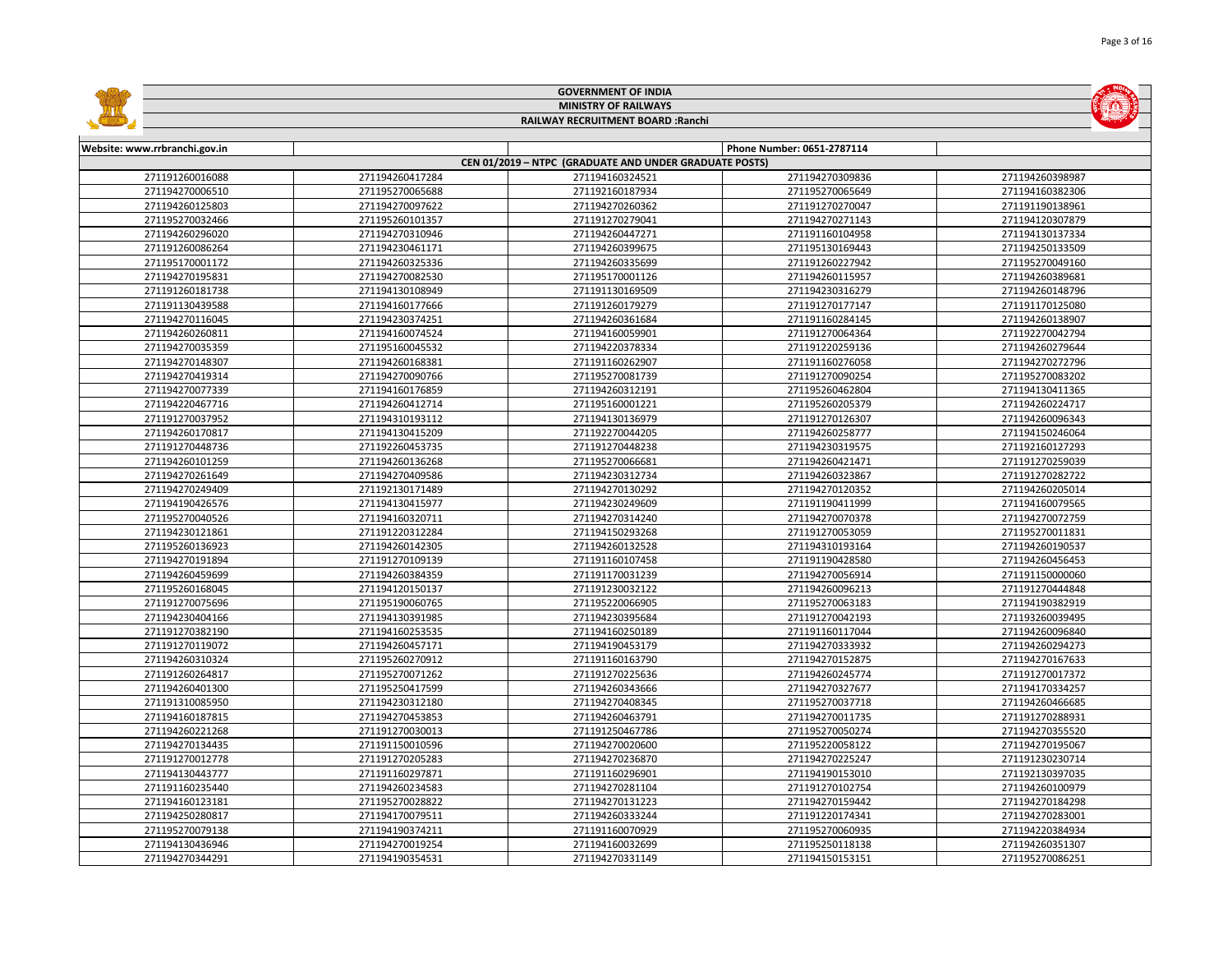|                               |                             | <b>GOVERNMENT OF INDIA</b>                             |                            |                 |  |  |
|-------------------------------|-----------------------------|--------------------------------------------------------|----------------------------|-----------------|--|--|
|                               | <b>MINISTRY OF RAILWAYS</b> |                                                        |                            |                 |  |  |
|                               |                             | RAILWAY RECRUITMENT BOARD : Ranchi                     |                            |                 |  |  |
|                               |                             |                                                        |                            |                 |  |  |
| Website: www.rrbranchi.gov.in |                             |                                                        | Phone Number: 0651-2787114 |                 |  |  |
|                               |                             | CEN 01/2019 - NTPC (GRADUATE AND UNDER GRADUATE POSTS) |                            |                 |  |  |
| 271191260016088               | 271194260417284             | 271194160324521                                        | 271194270309836            | 271194260398987 |  |  |
| 271194270006510               | 271195270065688             | 271192160187934                                        | 271195270065649            | 271194160382306 |  |  |
| 271194260125803               | 271194270097622             | 271194270260362                                        | 271191270270047            | 271191190138961 |  |  |
| 271195270032466               | 271195260101357             | 271191270279041                                        | 271194270271143            | 271194120307879 |  |  |
| 271194260296020               | 271194270310946             | 271194260447271                                        | 271191160104958            | 271194130137334 |  |  |
| 271191260086264               | 271194230461171             | 271194260399675                                        | 271195130169443            | 271194250133509 |  |  |
| 271195170001172               | 271194260325336             | 271194260335699                                        | 271191260227942            | 271195270049160 |  |  |
| 271194270195831               | 271194270082530             | 271195170001126                                        | 271194260115957            | 271194260389681 |  |  |
| 271191260181738               | 271194130108949             | 271191130169509                                        | 271194230316279            | 271194260148796 |  |  |
| 271191130439588               | 271194160177666             | 271191260179279                                        | 271191270177147            | 271191170125080 |  |  |
| 271194270116045               | 271194230374251             | 271194260361684                                        | 271191160284145            | 271194260138907 |  |  |
| 271194260260811               | 271194160074524             | 271194160059901                                        | 271191270064364            | 271192270042794 |  |  |
| 271194270035359               | 271195160045532             | 271194220378334                                        | 271191220259136            | 271194260279644 |  |  |
| 271194270148307               | 271194260168381             | 271191160262907                                        | 271191160276058            | 271194270272796 |  |  |
| 271194270419314               | 271194270090766             | 271195270081739                                        | 271191270090254            | 271195270083202 |  |  |
| 271194270077339               | 271194160176859             | 271194260312191                                        | 271195260462804            | 271194130411365 |  |  |
| 271194220467716               | 271194260412714             | 271195160001221                                        | 271195260205379            | 271194260224717 |  |  |
| 271191270037952               | 271194310193112             | 271194130136979                                        | 271191270126307            | 271194260096343 |  |  |
| 271194260170817               | 271194130415209             | 271192270044205                                        | 271194260258777            | 271194150246064 |  |  |
| 271191270448736               | 271192260453735             | 271191270448238                                        | 271194230319575            | 271192160127293 |  |  |
| 271194260101259               | 271194260136268             | 271195270066681                                        | 271194260421471            | 271191270259039 |  |  |
| 271194270261649               | 271194270409586             | 271194230312734                                        | 271194260323867            | 271191270282722 |  |  |
| 271194270249409               | 271192130171489             | 271194270130292                                        | 271194270120352            | 271194260205014 |  |  |
| 271194190426576               | 271194130415977             | 271194230249609                                        | 271191190411999            | 271194160079565 |  |  |
| 271195270040526               | 271194160320711             | 271194270314240                                        | 271194270070378            | 271194270072759 |  |  |
| 271194230121861               | 271191220312284             | 271194150293268                                        | 271191270053059            | 271195270011831 |  |  |
| 271195260136923               | 271194260142305             | 271194260132528                                        | 271194310193164            | 271194260190537 |  |  |
| 271194270191894               | 271191270109139             | 271191160107458                                        | 271191190428580            | 271194260456453 |  |  |
| 271194260459699               | 271194260384359             | 271191170031239                                        | 271194270056914            | 271191150000060 |  |  |
| 271195260168045               | 271194120150137             | 271191230032122                                        | 271194260096213            | 271191270444848 |  |  |
| 271191270075696               | 271195190060765             | 271195220066905                                        | 271195270063183            | 271194190382919 |  |  |
| 271194230404166               | 271194130391985             | 271194230395684                                        | 271191270042193            | 271193260039495 |  |  |
| 271191270382190               | 271194160253535             | 271194160250189                                        | 271191160117044            | 271194260096840 |  |  |
| 271191270119072               | 271194260457171             | 271194190453179                                        | 271194270333932            | 271194260294273 |  |  |
| 271194260310324               | 271195260270912             | 271191160163790                                        | 271194270152875            | 271194270167633 |  |  |
| 271191260264817               | 271195270071262             | 271191270225636                                        | 271194260245774            | 271191270017372 |  |  |
| 271194260401300               | 271195250417599             | 271194260343666                                        | 271194270327677            | 271194170334257 |  |  |
| 271191310085950               | 271194230312180             | 271194270408345                                        | 271195270037718            | 271194260466685 |  |  |
| 271194160187815               | 271194270453853             | 271194260463791                                        | 271194270011735            | 271191270288931 |  |  |
| 271194260221268               | 271191270030013             | 271191250467786                                        | 271195270050274            | 271194270355520 |  |  |
| 271194270134435               | 271191150010596             | 271194270020600                                        | 271195220058122            | 271194270195067 |  |  |
| 271191270012778               | 271191270205283             | 271194270236870                                        | 271194270225247            | 271191230230714 |  |  |
| 271194130443777               | 271191160297871             | 271191160296901                                        | 271194190153010            | 271192130397035 |  |  |
| 271191160235440               | 271194260234583             | 271194270281104                                        | 271191270102754            | 271194260100979 |  |  |
| 271194160123181               | 271195270028822             | 271194270131223                                        | 271194270159442            | 271194270184298 |  |  |
| 271194250280817               | 271194170079511             | 271194260333244                                        | 271191220174341            | 271194270283001 |  |  |
| 271195270079138               | 271194190374211             | 271191160070929                                        | 271195270060935            | 271194220384934 |  |  |
| 271194130436946               | 271194270019254             | 271194160032699                                        | 271195250118138            | 271194260351307 |  |  |
| 271194270344291               | 271194190354531             | 271194270331149                                        | 271194150153151            | 271195270086251 |  |  |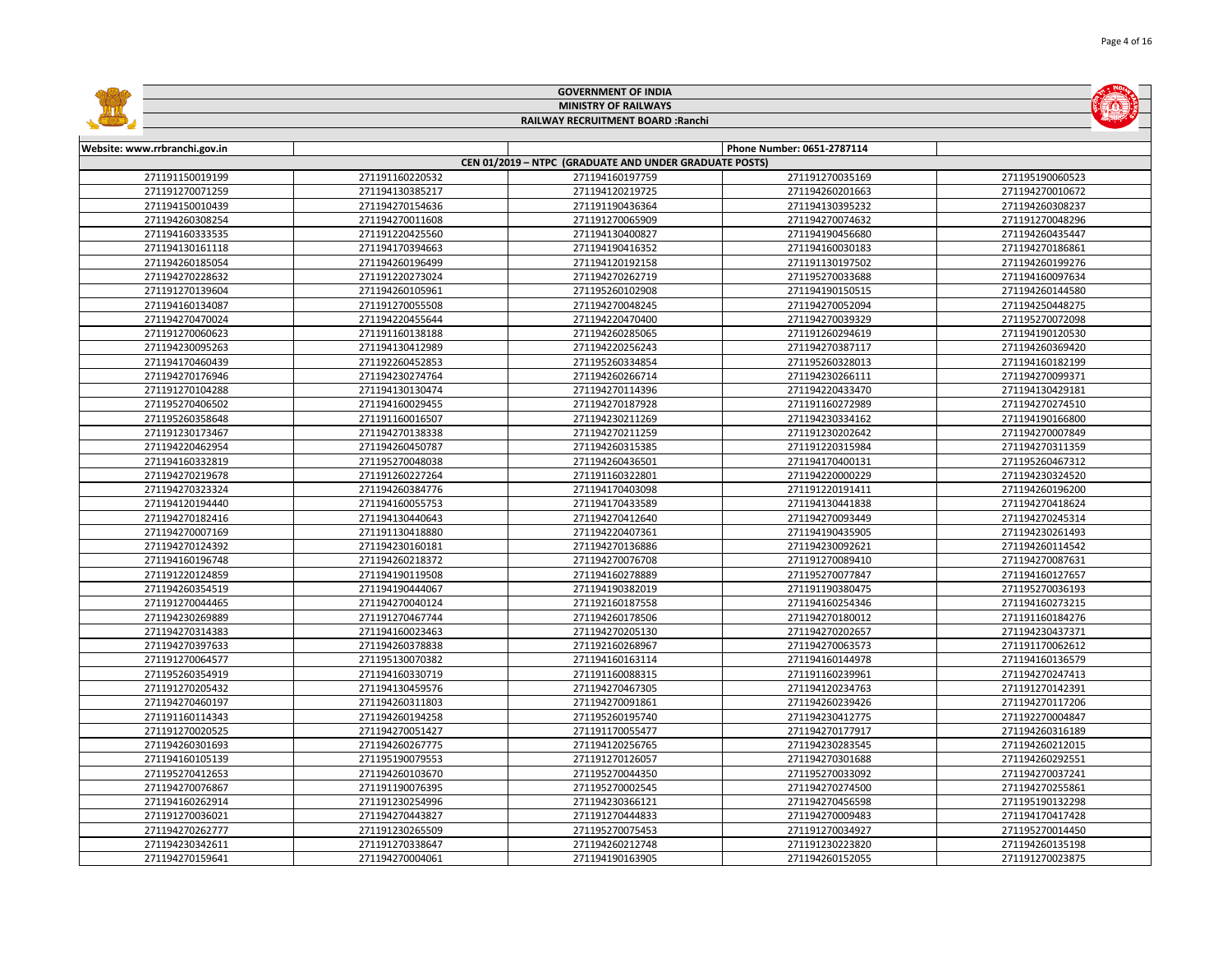|                               |                             | <b>GOVERNMENT OF INDIA</b>                             |                            |                 |  |  |
|-------------------------------|-----------------------------|--------------------------------------------------------|----------------------------|-----------------|--|--|
|                               | <b>MINISTRY OF RAILWAYS</b> |                                                        |                            |                 |  |  |
|                               |                             | RAILWAY RECRUITMENT BOARD : Ranchi                     |                            |                 |  |  |
|                               |                             |                                                        |                            |                 |  |  |
| Website: www.rrbranchi.gov.in |                             |                                                        | Phone Number: 0651-2787114 |                 |  |  |
|                               |                             | CEN 01/2019 - NTPC (GRADUATE AND UNDER GRADUATE POSTS) |                            |                 |  |  |
| 271191150019199               | 271191160220532             | 271194160197759                                        | 271191270035169            | 271195190060523 |  |  |
| 271191270071259               | 271194130385217             | 271194120219725                                        | 271194260201663            | 271194270010672 |  |  |
| 271194150010439               | 271194270154636             | 271191190436364                                        | 271194130395232            | 271194260308237 |  |  |
| 271194260308254               | 271194270011608             | 271191270065909                                        | 271194270074632            | 271191270048296 |  |  |
| 271194160333535               | 271191220425560             | 271194130400827                                        | 271194190456680            | 271194260435447 |  |  |
| 271194130161118               | 271194170394663             | 271194190416352                                        | 271194160030183            | 271194270186861 |  |  |
| 271194260185054               | 271194260196499             | 271194120192158                                        | 271191130197502            | 271194260199276 |  |  |
| 271194270228632               | 271191220273024             | 271194270262719                                        | 271195270033688            | 271194160097634 |  |  |
| 271191270139604               | 271194260105961             | 271195260102908                                        | 271194190150515            | 271194260144580 |  |  |
| 271194160134087               | 271191270055508             | 271194270048245                                        | 271194270052094            | 271194250448275 |  |  |
| 271194270470024               | 271194220455644             | 271194220470400                                        | 271194270039329            | 271195270072098 |  |  |
| 271191270060623               | 271191160138188             | 271194260285065                                        | 271191260294619            | 271194190120530 |  |  |
| 271194230095263               | 271194130412989             | 271194220256243                                        | 271194270387117            | 271194260369420 |  |  |
| 271194170460439               | 271192260452853             | 271195260334854                                        | 271195260328013            | 271194160182199 |  |  |
| 271194270176946               | 271194230274764             | 271194260266714                                        | 271194230266111            | 271194270099371 |  |  |
| 271191270104288               | 271194130130474             | 271194270114396                                        | 271194220433470            | 271194130429181 |  |  |
| 271195270406502               | 271194160029455             | 271194270187928                                        | 271191160272989            | 271194270274510 |  |  |
| 271195260358648               | 271191160016507             | 271194230211269                                        | 271194230334162            | 271194190166800 |  |  |
| 271191230173467               | 271194270138338             | 271194270211259                                        | 271191230202642            | 271194270007849 |  |  |
| 271194220462954               | 271194260450787             | 271194260315385                                        | 271191220315984            | 271194270311359 |  |  |
| 271194160332819               | 271195270048038             | 271194260436501                                        | 271194170400131            | 271195260467312 |  |  |
| 271194270219678               | 271191260227264             | 271191160322801                                        | 271194220000229            | 271194230324520 |  |  |
| 271194270323324               | 271194260384776             | 271194170403098                                        | 271191220191411            | 271194260196200 |  |  |
| 271194120194440               | 271194160055753             | 271194170433589                                        | 271194130441838            | 271194270418624 |  |  |
| 271194270182416               | 271194130440643             | 271194270412640                                        | 271194270093449            | 271194270245314 |  |  |
| 271194270007169               | 271191130418880             | 271194220407361                                        | 271194190435905            | 271194230261493 |  |  |
| 271194270124392               | 271194230160181             | 271194270136886                                        | 271194230092621            | 271194260114542 |  |  |
| 271194160196748               | 271194260218372             | 271194270076708                                        | 271191270089410            | 271194270087631 |  |  |
| 271191220124859               | 271194190119508             | 271194160278889                                        | 271195270077847            | 271194160127657 |  |  |
| 271194260354519               | 271194190444067             | 271194190382019                                        | 271191190380475            | 271195270036193 |  |  |
| 271191270044465               | 271194270040124             | 271192160187558                                        | 271194160254346            | 271194160273215 |  |  |
| 271194230269889               | 271191270467744             | 271194260178506                                        | 271194270180012            | 271191160184276 |  |  |
| 271194270314383               | 271194160023463             | 271194270205130                                        | 271194270202657            | 271194230437371 |  |  |
| 271194270397633               | 271194260378838             | 271192160268967                                        | 271194270063573            | 271191170062612 |  |  |
| 271191270064577               | 271195130070382             | 271194160163114                                        | 271194160144978            | 271194160136579 |  |  |
| 271195260354919               | 271194160330719             | 271191160088315                                        | 271191160239961            | 271194270247413 |  |  |
| 271191270205432               | 271194130459576             | 271194270467305                                        | 271194120234763            | 271191270142391 |  |  |
| 271194270460197               | 271194260311803             | 271194270091861                                        | 271194260239426            | 271194270117206 |  |  |
| 271191160114343               | 271194260194258             | 271195260195740                                        | 271194230412775            | 271192270004847 |  |  |
| 271191270020525               | 271194270051427             | 271191170055477                                        | 271194270177917            | 271194260316189 |  |  |
| 271194260301693               | 271194260267775             | 271194120256765                                        | 271194230283545            | 271194260212015 |  |  |
| 271194160105139               | 271195190079553             | 271191270126057                                        | 271194270301688            | 271194260292551 |  |  |
| 271195270412653               | 271194260103670             | 271195270044350                                        | 271195270033092            | 271194270037241 |  |  |
| 271194270076867               | 271191190076395             | 271195270002545                                        | 271194270274500            | 271194270255861 |  |  |
| 271194160262914               | 271191230254996             | 271194230366121                                        | 271194270456598            | 271195190132298 |  |  |
| 271191270036021               | 271194270443827             | 271191270444833                                        | 271194270009483            | 271194170417428 |  |  |
| 271194270262777               | 271191230265509             | 271195270075453                                        | 271191270034927            | 271195270014450 |  |  |
| 271194230342611               | 271191270338647             | 271194260212748                                        | 271191230223820            | 271194260135198 |  |  |
| 271194270159641               | 271194270004061             | 271194190163905                                        | 271194260152055            | 271191270023875 |  |  |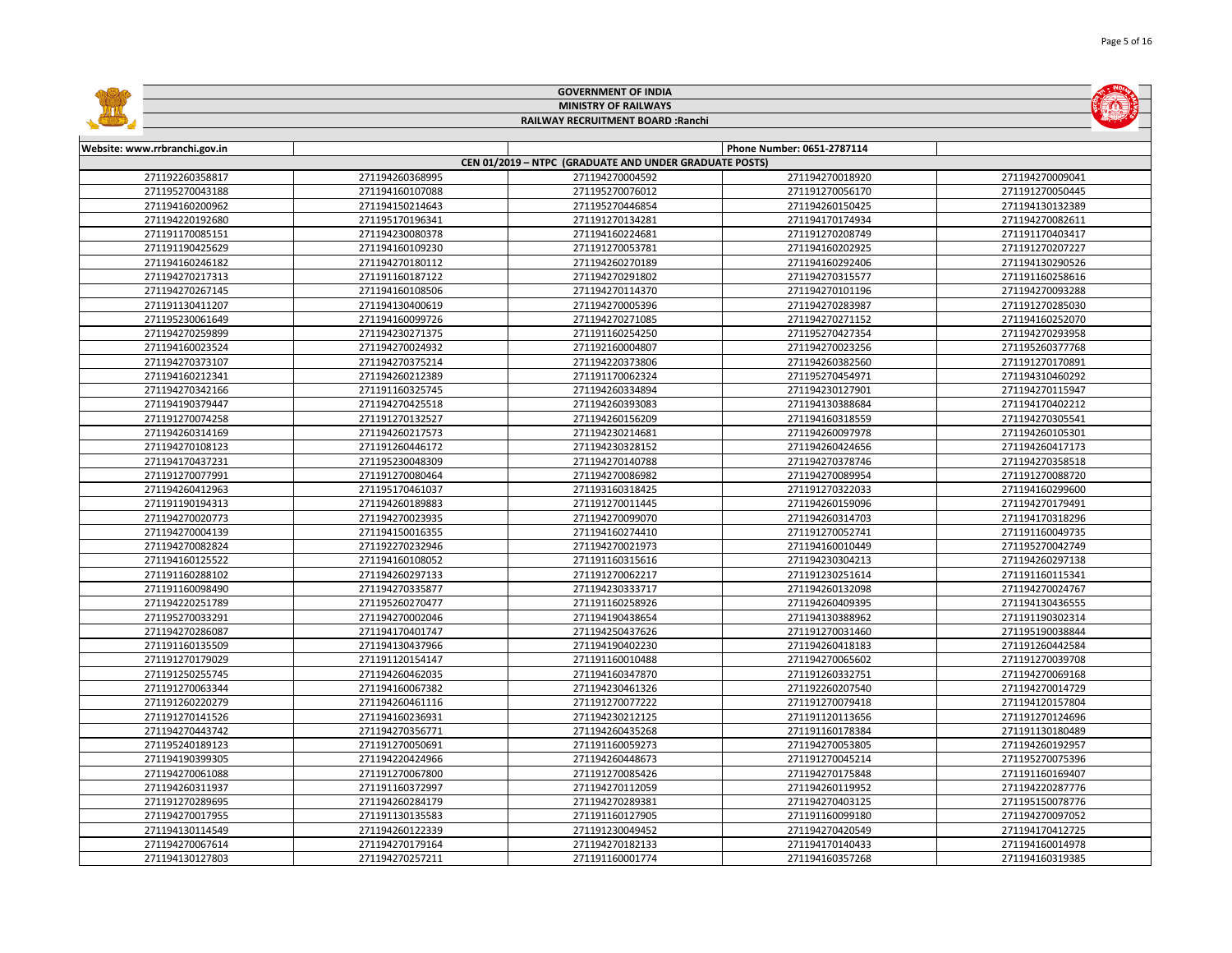|                               |                             | <b>GOVERNMENT OF INDIA</b>                             |                            |                 |  |  |
|-------------------------------|-----------------------------|--------------------------------------------------------|----------------------------|-----------------|--|--|
|                               | <b>MINISTRY OF RAILWAYS</b> |                                                        |                            |                 |  |  |
|                               |                             | RAILWAY RECRUITMENT BOARD : Ranchi                     |                            |                 |  |  |
|                               |                             |                                                        |                            |                 |  |  |
| Website: www.rrbranchi.gov.in |                             |                                                        | Phone Number: 0651-2787114 |                 |  |  |
|                               |                             | CEN 01/2019 - NTPC (GRADUATE AND UNDER GRADUATE POSTS) |                            |                 |  |  |
| 271192260358817               | 271194260368995             | 271194270004592                                        | 271194270018920            | 271194270009041 |  |  |
| 271195270043188               | 271194160107088             | 271195270076012                                        | 271191270056170            | 271191270050445 |  |  |
| 271194160200962               | 271194150214643             | 271195270446854                                        | 271194260150425            | 271194130132389 |  |  |
| 271194220192680               | 271195170196341             | 271191270134281                                        | 271194170174934            | 271194270082611 |  |  |
| 271191170085151               | 271194230080378             | 271194160224681                                        | 271191270208749            | 271191170403417 |  |  |
| 271191190425629               | 271194160109230             | 271191270053781                                        | 271194160202925            | 271191270207227 |  |  |
| 271194160246182               | 271194270180112             | 271194260270189                                        | 271194160292406            | 271194130290526 |  |  |
| 271194270217313               | 271191160187122             | 271194270291802                                        | 271194270315577            | 271191160258616 |  |  |
| 271194270267145               | 271194160108506             | 271194270114370                                        | 271194270101196            | 271194270093288 |  |  |
| 271191130411207               | 271194130400619             | 271194270005396                                        | 271194270283987            | 271191270285030 |  |  |
| 271195230061649               | 271194160099726             | 271194270271085                                        | 271194270271152            | 271194160252070 |  |  |
| 271194270259899               | 271194230271375             | 271191160254250                                        | 271195270427354            | 271194270293958 |  |  |
| 271194160023524               | 271194270024932             | 271192160004807                                        | 271194270023256            | 271195260377768 |  |  |
| 271194270373107               | 271194270375214             | 271194220373806                                        | 271194260382560            | 271191270170891 |  |  |
| 271194160212341               | 271194260212389             | 271191170062324                                        | 271195270454971            | 271194310460292 |  |  |
| 271194270342166               | 271191160325745             | 271194260334894                                        | 271194230127901            | 271194270115947 |  |  |
| 271194190379447               | 271194270425518             | 271194260393083                                        | 271194130388684            | 271194170402212 |  |  |
| 271191270074258               | 271191270132527             | 271194260156209                                        | 271194160318559            | 271194270305541 |  |  |
| 271194260314169               | 271194260217573             | 271194230214681                                        | 271194260097978            | 271194260105301 |  |  |
| 271194270108123               | 271191260446172             | 271194230328152                                        | 271194260424656            | 271194260417173 |  |  |
| 271194170437231               | 271195230048309             | 271194270140788                                        | 271194270378746            | 271194270358518 |  |  |
| 271191270077991               | 271191270080464             | 271194270086982                                        | 271194270089954            | 271191270088720 |  |  |
| 271194260412963               | 271195170461037             | 271193160318425                                        | 271191270322033            | 271194160299600 |  |  |
| 271191190194313               | 271194260189883             | 271191270011445                                        | 271194260159096            | 271194270179491 |  |  |
| 271194270020773               | 271194270023935             | 271194270099070                                        | 271194260314703            | 271194170318296 |  |  |
| 271194270004139               | 271194150016355             | 271194160274410                                        | 271191270052741            | 271191160049735 |  |  |
| 271194270082824               | 271192270232946             | 271194270021973                                        | 271194160010449            | 271195270042749 |  |  |
| 271194160125522               | 271194160108052             | 271191160315616                                        | 271194230304213            | 271194260297138 |  |  |
| 271191160288102               | 271194260297133             | 271191270062217                                        | 271191230251614            | 271191160115341 |  |  |
| 271191160098490               | 271194270335877             | 271194230333717                                        | 271194260132098            | 271194270024767 |  |  |
| 271194220251789               | 271195260270477             | 271191160258926                                        | 271194260409395            | 271194130436555 |  |  |
| 271195270033291               | 271194270002046             | 271194190438654                                        | 271194130388962            | 271191190302314 |  |  |
| 271194270286087               | 271194170401747             | 271194250437626                                        | 271191270031460            | 271195190038844 |  |  |
| 271191160135509               | 271194130437966             | 271194190402230                                        | 271194260418183            | 271191260442584 |  |  |
| 271191270179029               | 271191120154147             | 271191160010488                                        | 271194270065602            | 271191270039708 |  |  |
| 271191250255745               | 271194260462035             | 271194160347870                                        | 271191260332751            | 271194270069168 |  |  |
| 271191270063344               | 271194160067382             | 271194230461326                                        | 271192260207540            | 271194270014729 |  |  |
| 271191260220279               | 271194260461116             | 271191270077222                                        | 271191270079418            | 271194120157804 |  |  |
| 271191270141526               | 271194160236931             | 271194230212125                                        | 271191120113656            | 271191270124696 |  |  |
| 271194270443742               | 271194270356771             | 271194260435268                                        | 271191160178384            | 271191130180489 |  |  |
| 271195240189123               | 271191270050691             | 271191160059273                                        | 271194270053805            | 271194260192957 |  |  |
| 271194190399305               | 271194220424966             | 271194260448673                                        | 271191270045214            | 271195270075396 |  |  |
| 271194270061088               | 271191270067800             | 271191270085426                                        | 271194270175848            | 271191160169407 |  |  |
| 271194260311937               | 271191160372997             | 271194270112059                                        | 271194260119952            | 271194220287776 |  |  |
| 271191270289695               | 271194260284179             | 271194270289381                                        | 271194270403125            | 271195150078776 |  |  |
| 271194270017955               | 271191130135583             | 271191160127905                                        | 271191160099180            | 271194270097052 |  |  |
| 271194130114549               | 271194260122339             | 271191230049452                                        | 271194270420549            | 271194170412725 |  |  |
| 271194270067614               | 271194270179164             | 271194270182133                                        | 271194170140433            | 271194160014978 |  |  |
| 271194130127803               | 271194270257211             | 271191160001774                                        | 271194160357268            | 271194160319385 |  |  |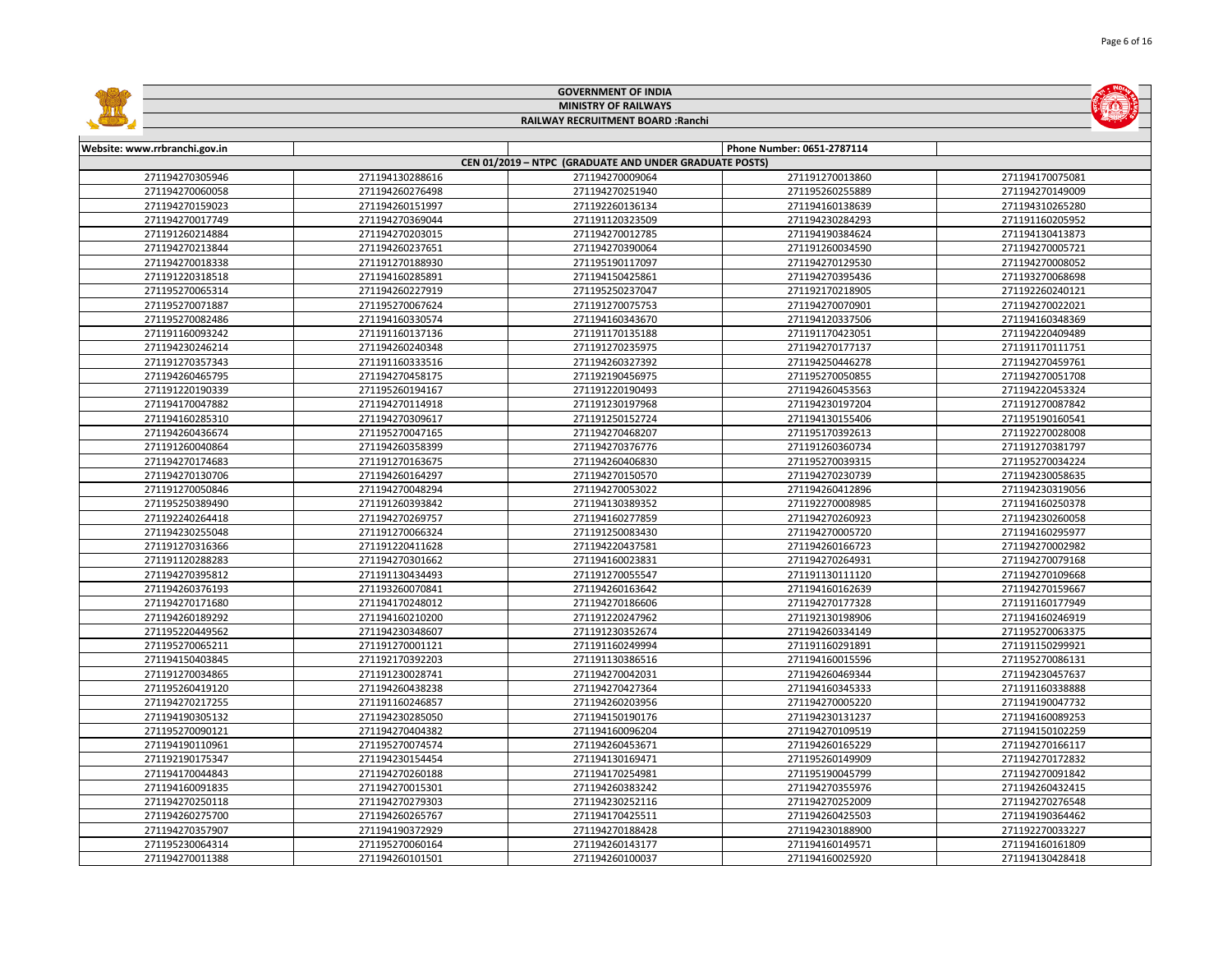|                               |                             | <b>GOVERNMENT OF INDIA</b>                             |                            |                 |  |  |
|-------------------------------|-----------------------------|--------------------------------------------------------|----------------------------|-----------------|--|--|
|                               | <b>MINISTRY OF RAILWAYS</b> |                                                        |                            |                 |  |  |
|                               |                             | RAILWAY RECRUITMENT BOARD : Ranchi                     |                            |                 |  |  |
|                               |                             |                                                        |                            |                 |  |  |
| Website: www.rrbranchi.gov.in |                             |                                                        | Phone Number: 0651-2787114 |                 |  |  |
|                               |                             | CEN 01/2019 - NTPC (GRADUATE AND UNDER GRADUATE POSTS) |                            |                 |  |  |
| 271194270305946               | 271194130288616             | 271194270009064                                        | 271191270013860            | 271194170075081 |  |  |
| 271194270060058               | 271194260276498             | 271194270251940                                        | 271195260255889            | 271194270149009 |  |  |
| 271194270159023               | 271194260151997             | 271192260136134                                        | 271194160138639            | 271194310265280 |  |  |
| 271194270017749               | 271194270369044             | 271191120323509                                        | 271194230284293            | 271191160205952 |  |  |
| 271191260214884               | 271194270203015             | 271194270012785                                        | 271194190384624            | 271194130413873 |  |  |
| 271194270213844               | 271194260237651             | 271194270390064                                        | 271191260034590            | 271194270005721 |  |  |
| 271194270018338               | 271191270188930             | 271195190117097                                        | 271194270129530            | 271194270008052 |  |  |
| 271191220318518               | 271194160285891             | 271194150425861                                        | 271194270395436            | 271193270068698 |  |  |
| 271195270065314               | 271194260227919             | 271195250237047                                        | 271192170218905            | 271192260240121 |  |  |
| 271195270071887               | 271195270067624             | 271191270075753                                        | 271194270070901            | 271194270022021 |  |  |
| 271195270082486               | 271194160330574             | 271194160343670                                        | 271194120337506            | 271194160348369 |  |  |
| 271191160093242               | 271191160137136             | 271191170135188                                        | 271191170423051            | 271194220409489 |  |  |
| 271194230246214               | 271194260240348             | 271191270235975                                        | 271194270177137            | 271191170111751 |  |  |
| 271191270357343               | 271191160333516             | 271194260327392                                        | 271194250446278            | 271194270459761 |  |  |
| 271194260465795               | 271194270458175             | 271192190456975                                        | 271195270050855            | 271194270051708 |  |  |
| 271191220190339               | 271195260194167             | 271191220190493                                        | 271194260453563            | 271194220453324 |  |  |
| 271194170047882               | 271194270114918             | 271191230197968                                        | 271194230197204            | 271191270087842 |  |  |
| 271194160285310               | 271194270309617             | 271191250152724                                        | 271194130155406            | 271195190160541 |  |  |
| 271194260436674               | 271195270047165             | 271194270468207                                        | 271195170392613            | 271192270028008 |  |  |
| 271191260040864               | 271194260358399             | 271194270376776                                        | 271191260360734            | 271191270381797 |  |  |
| 271194270174683               | 271191270163675             | 271194260406830                                        | 271195270039315            | 271195270034224 |  |  |
| 271194270130706               | 271194260164297             | 271194270150570                                        | 271194270230739            | 271194230058635 |  |  |
| 271191270050846               | 271194270048294             | 271194270053022                                        | 271194260412896            | 271194230319056 |  |  |
| 271195250389490               | 271191260393842             | 271194130389352                                        | 271192270008985            | 271194160250378 |  |  |
| 271192240264418               | 271194270269757             | 271194160277859                                        | 271194270260923            | 271194230260058 |  |  |
| 271194230255048               | 271191270066324             | 271191250083430                                        | 271194270005720            | 271194160295977 |  |  |
| 271191270316366               | 271191220411628             | 271194220437581                                        | 271194260166723            | 271194270002982 |  |  |
| 271191120288283               | 271194270301662             | 271194160023831                                        | 271194270264931            | 271194270079168 |  |  |
| 271194270395812               | 271191130434493             | 271191270055547                                        | 271191130111120            | 271194270109668 |  |  |
| 271194260376193               | 271193260070841             | 271194260163642                                        | 271194160162639            | 271194270159667 |  |  |
| 271194270171680               | 271194170248012             | 271194270186606                                        | 271194270177328            | 271191160177949 |  |  |
| 271194260189292               | 271194160210200             | 271191220247962                                        | 271192130198906            | 271194160246919 |  |  |
| 271195220449562               | 271194230348607             | 271191230352674                                        | 271194260334149            | 271195270063375 |  |  |
| 271195270065211               | 271191270001121             | 271191160249994                                        | 271191160291891            | 271191150299921 |  |  |
| 271194150403845               | 271192170392203             | 271191130386516                                        | 271194160015596            | 271195270086131 |  |  |
| 271191270034865               | 271191230028741             | 271194270042031                                        | 271194260469344            | 271194230457637 |  |  |
| 271195260419120               | 271194260438238             | 271194270427364                                        | 271194160345333            | 271191160338888 |  |  |
| 271194270217255               | 271191160246857             | 271194260203956                                        | 271194270005220            | 271194190047732 |  |  |
| 271194190305132               | 271194230285050             | 271194150190176                                        | 271194230131237            | 271194160089253 |  |  |
| 271195270090121               | 271194270404382             | 271194160096204                                        | 271194270109519            | 271194150102259 |  |  |
| 271194190110961               | 271195270074574             | 271194260453671                                        | 271194260165229            | 271194270166117 |  |  |
| 271192190175347               | 271194230154454             | 271194130169471                                        | 271195260149909            | 271194270172832 |  |  |
| 271194170044843               | 271194270260188             | 271194170254981                                        | 271195190045799            | 271194270091842 |  |  |
| 271194160091835               | 271194270015301             | 271194260383242                                        | 271194270355976            | 271194260432415 |  |  |
| 271194270250118               | 271194270279303             | 271194230252116                                        | 271194270252009            | 271194270276548 |  |  |
| 271194260275700               | 271194260265767             | 271194170425511                                        | 271194260425503            | 271194190364462 |  |  |
| 271194270357907               | 271194190372929             | 271194270188428                                        | 271194230188900            | 271192270033227 |  |  |
| 271195230064314               | 271195270060164             | 271194260143177                                        | 271194160149571            | 271194160161809 |  |  |
| 271194270011388               | 271194260101501             | 271194260100037                                        | 271194160025920            | 271194130428418 |  |  |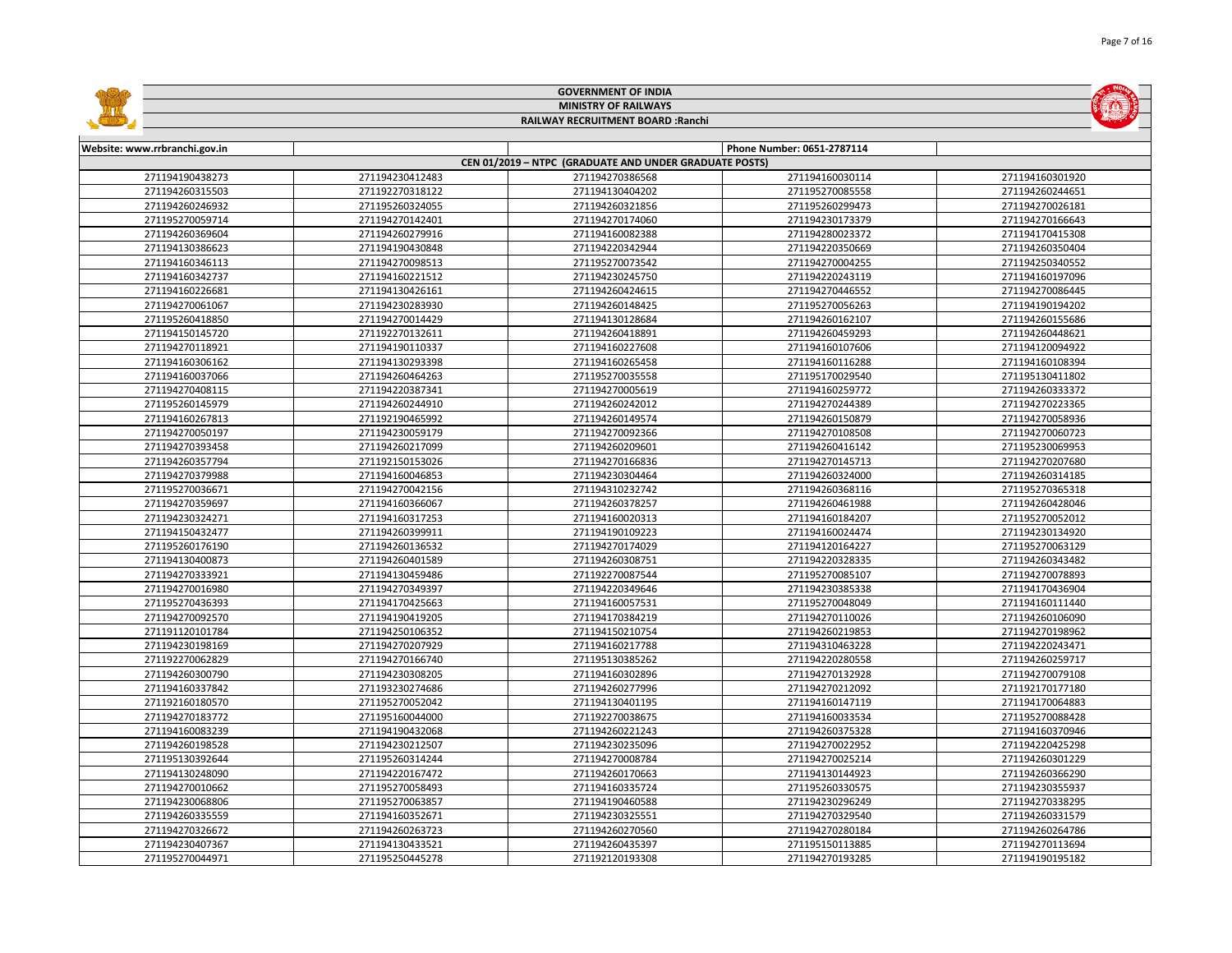|                               |                 | <b>GOVERNMENT OF INDIA</b>                             |                            |                 |
|-------------------------------|-----------------|--------------------------------------------------------|----------------------------|-----------------|
|                               |                 | <b>MINISTRY OF RAILWAYS</b>                            |                            |                 |
|                               |                 | RAILWAY RECRUITMENT BOARD : Ranchi                     |                            |                 |
|                               |                 |                                                        |                            |                 |
| Website: www.rrbranchi.gov.in |                 |                                                        | Phone Number: 0651-2787114 |                 |
|                               |                 | CEN 01/2019 - NTPC (GRADUATE AND UNDER GRADUATE POSTS) |                            |                 |
| 271194190438273               | 271194230412483 | 271194270386568                                        | 271194160030114            | 271194160301920 |
| 271194260315503               | 271192270318122 | 271194130404202                                        | 271195270085558            | 271194260244651 |
| 271194260246932               | 271195260324055 | 271194260321856                                        | 271195260299473            | 271194270026181 |
| 271195270059714               | 271194270142401 | 271194270174060                                        | 271194230173379            | 271194270166643 |
| 271194260369604               | 271194260279916 | 271194160082388                                        | 271194280023372            | 271194170415308 |
| 271194130386623               | 271194190430848 | 271194220342944                                        | 271194220350669            | 271194260350404 |
| 271194160346113               | 271194270098513 | 271195270073542                                        | 271194270004255            | 271194250340552 |
| 271194160342737               | 271194160221512 | 271194230245750                                        | 271194220243119            | 271194160197096 |
| 271194160226681               | 271194130426161 | 271194260424615                                        | 271194270446552            | 271194270086445 |
| 271194270061067               | 271194230283930 | 271194260148425                                        | 271195270056263            | 271194190194202 |
| 271195260418850               | 271194270014429 | 271194130128684                                        | 271194260162107            | 271194260155686 |
| 271194150145720               | 271192270132611 | 271194260418891                                        | 271194260459293            | 271194260448621 |
| 271194270118921               | 271194190110337 | 271194160227608                                        | 271194160107606            | 271194120094922 |
| 271194160306162               | 271194130293398 | 271194160265458                                        | 271194160116288            | 271194160108394 |
| 271194160037066               | 271194260464263 | 271195270035558                                        | 271195170029540            | 271195130411802 |
| 271194270408115               | 271194220387341 | 271194270005619                                        | 271194160259772            | 271194260333372 |
| 271195260145979               | 271194260244910 | 271194260242012                                        | 271194270244389            | 271194270223365 |
| 271194160267813               | 271192190465992 | 271194260149574                                        | 271194260150879            | 271194270058936 |
| 271194270050197               | 271194230059179 | 271194270092366                                        | 271194270108508            | 271194270060723 |
| 271194270393458               | 271194260217099 | 271194260209601                                        | 271194260416142            | 271195230069953 |
| 271194260357794               | 271192150153026 | 271194270166836                                        | 271194270145713            | 271194270207680 |
| 271194270379988               | 271194160046853 | 271194230304464                                        | 271194260324000            | 271194260314185 |
| 271195270036671               | 271194270042156 | 271194310232742                                        | 271194260368116            | 271195270365318 |
| 271194270359697               | 271194160366067 | 271194260378257                                        | 271194260461988            | 271194260428046 |
| 271194230324271               | 271194160317253 | 271194160020313                                        | 271194160184207            | 271195270052012 |
| 271194150432477               | 271194260399911 | 271194190109223                                        | 271194160024474            | 271194230134920 |
| 271195260176190               | 271194260136532 | 271194270174029                                        | 271194120164227            | 271195270063129 |
| 271194130400873               | 271194260401589 | 271194260308751                                        | 271194220328335            | 271194260343482 |
| 271194270333921               | 271194130459486 | 271192270087544                                        | 271195270085107            | 271194270078893 |
| 271194270016980               | 271194270349397 | 271194220349646                                        | 271194230385338            | 271194170436904 |
| 271195270436393               | 271194170425663 | 271194160057531                                        | 271195270048049            | 271194160111440 |
| 271194270092570               | 271194190419205 | 271194170384219                                        | 271194270110026            | 271194260106090 |
| 271191120101784               | 271194250106352 | 271194150210754                                        | 271194260219853            | 271194270198962 |
| 271194230198169               | 271194270207929 | 271194160217788                                        | 271194310463228            | 271194220243471 |
| 271192270062829               | 271194270166740 | 271195130385262                                        | 271194220280558            | 271194260259717 |
| 271194260300790               | 271194230308205 | 271194160302896                                        | 271194270132928            | 271194270079108 |
| 271194160337842               | 271193230274686 | 271194260277996                                        | 271194270212092            | 271192170177180 |
| 271192160180570               | 271195270052042 | 271194130401195                                        | 271194160147119            | 271194170064883 |
| 271194270183772               | 271195160044000 | 271192270038675                                        | 271194160033534            | 271195270088428 |
| 271194160083239               | 271194190432068 | 271194260221243                                        | 271194260375328            | 271194160370946 |
| 271194260198528               | 271194230212507 | 271194230235096                                        | 271194270022952            | 271194220425298 |
| 271195130392644               | 271195260314244 | 271194270008784                                        | 271194270025214            | 271194260301229 |
| 271194130248090               | 271194220167472 | 271194260170663                                        | 271194130144923            | 271194260366290 |
| 271194270010662               | 271195270058493 | 271194160335724                                        | 271195260330575            | 271194230355937 |
| 271194230068806               | 271195270063857 | 271194190460588                                        | 271194230296249            | 271194270338295 |
| 271194260335559               | 271194160352671 | 271194230325551                                        | 271194270329540            | 271194260331579 |
| 271194270326672               | 271194260263723 | 271194260270560                                        | 271194270280184            | 271194260264786 |
| 271194230407367               | 271194130433521 | 271194260435397                                        | 271195150113885            | 271194270113694 |
| 271195270044971               | 271195250445278 | 271192120193308                                        | 271194270193285            | 271194190195182 |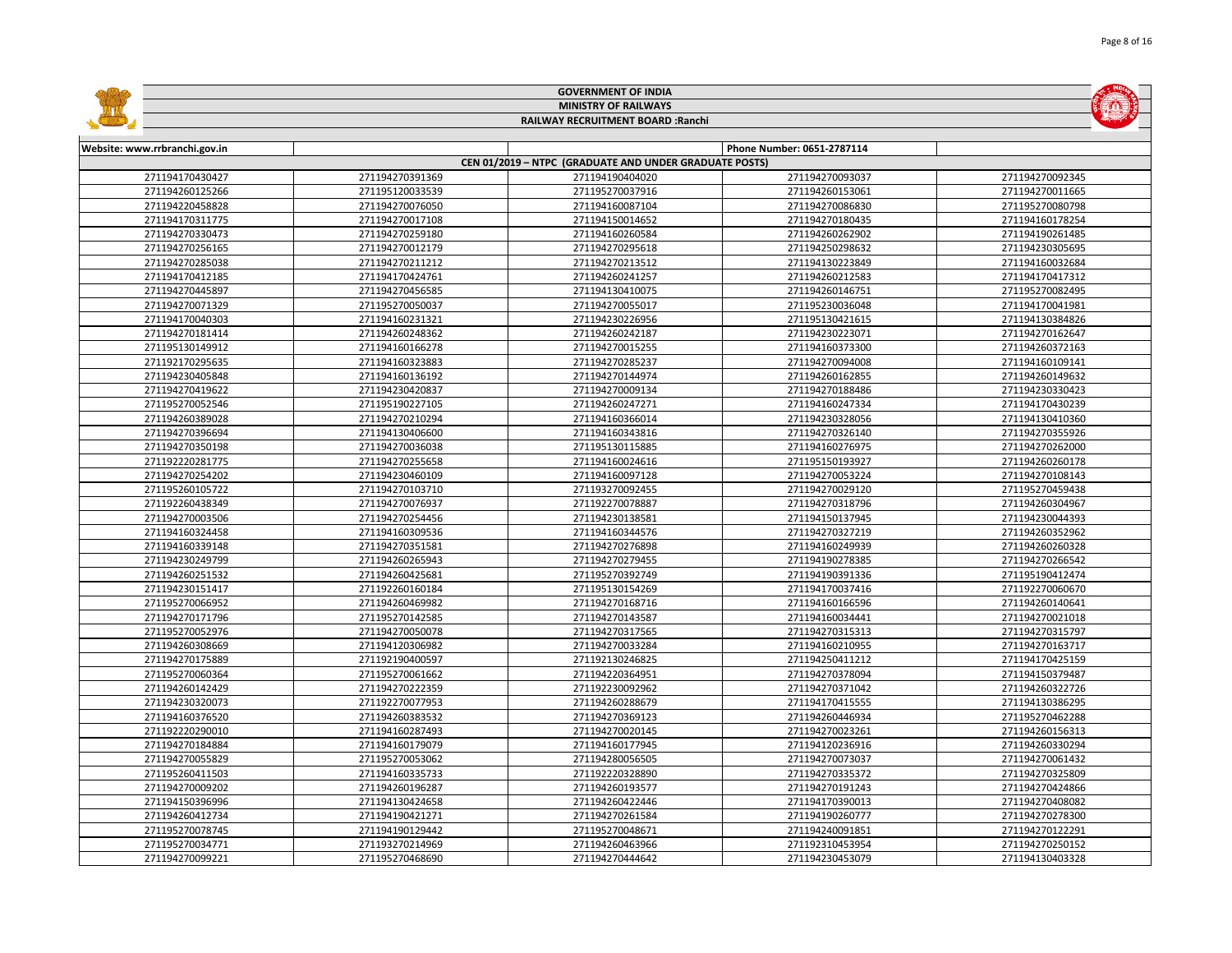|                               |                 | <b>GOVERNMENT OF INDIA</b>                             |                            |                 |
|-------------------------------|-----------------|--------------------------------------------------------|----------------------------|-----------------|
|                               |                 | <b>MINISTRY OF RAILWAYS</b>                            |                            |                 |
|                               |                 | RAILWAY RECRUITMENT BOARD : Ranchi                     |                            |                 |
| Website: www.rrbranchi.gov.in |                 |                                                        | Phone Number: 0651-2787114 |                 |
|                               |                 | CEN 01/2019 - NTPC (GRADUATE AND UNDER GRADUATE POSTS) |                            |                 |
| 271194170430427               | 271194270391369 | 271194190404020                                        | 271194270093037            | 271194270092345 |
| 271194260125266               | 271195120033539 | 271195270037916                                        | 271194260153061            | 271194270011665 |
| 271194220458828               | 271194270076050 | 271194160087104                                        | 271194270086830            | 271195270080798 |
| 271194170311775               | 271194270017108 | 271194150014652                                        | 271194270180435            | 271194160178254 |
| 271194270330473               | 271194270259180 | 271194160260584                                        | 271194260262902            | 271194190261485 |
| 271194270256165               | 271194270012179 | 271194270295618                                        | 271194250298632            | 271194230305695 |
| 271194270285038               | 271194270211212 | 271194270213512                                        | 271194130223849            | 271194160032684 |
| 271194170412185               | 271194170424761 | 271194260241257                                        | 271194260212583            | 271194170417312 |
| 271194270445897               | 271194270456585 | 271194130410075                                        | 271194260146751            | 271195270082495 |
| 271194270071329               | 271195270050037 | 271194270055017                                        | 271195230036048            | 271194170041981 |
| 271194170040303               | 271194160231321 | 271194230226956                                        | 271195130421615            | 271194130384826 |
| 271194270181414               | 271194260248362 | 271194260242187                                        | 271194230223071            | 271194270162647 |
| 271195130149912               | 271194160166278 | 271194270015255                                        | 271194160373300            | 271194260372163 |
| 271192170295635               | 271194160323883 | 271194270285237                                        | 271194270094008            | 271194160109141 |
| 271194230405848               | 271194160136192 | 271194270144974                                        | 271194260162855            | 271194260149632 |
| 271194270419622               | 271194230420837 | 271194270009134                                        | 271194270188486            | 271194230330423 |
| 271195270052546               | 271195190227105 | 271194260247271                                        | 271194160247334            | 271194170430239 |
| 271194260389028               | 271194270210294 | 271194160366014                                        | 271194230328056            | 271194130410360 |
| 271194270396694               | 271194130406600 | 271194160343816                                        | 271194270326140            | 271194270355926 |
| 271194270350198               | 271194270036038 | 271195130115885                                        | 271194160276975            | 271194270262000 |
| 271192220281775               | 271194270255658 | 271194160024616                                        | 271195150193927            | 271194260260178 |
| 271194270254202               | 271194230460109 | 271194160097128                                        | 271194270053224            | 271194270108143 |
| 271195260105722               | 271194270103710 | 271193270092455                                        | 271194270029120            | 271195270459438 |
| 271192260438349               | 271194270076937 | 271192270078887                                        | 271194270318796            | 271194260304967 |
| 271194270003506               | 271194270254456 | 271194230138581                                        | 271194150137945            | 271194230044393 |
| 271194160324458               | 271194160309536 | 271194160344576                                        | 271194270327219            | 271194260352962 |
| 271194160339148               | 271194270351581 | 271194270276898                                        | 271194160249939            | 271194260260328 |
| 271194230249799               | 271194260265943 | 271194270279455                                        | 271194190278385            | 271194270266542 |
| 271194260251532               | 271194260425681 | 271195270392749                                        | 271194190391336            | 271195190412474 |
| 271194230151417               | 271192260160184 | 271195130154269                                        | 271194170037416            | 271192270060670 |
| 271195270066952               | 271194260469982 | 271194270168716                                        | 271194160166596            | 271194260140641 |
| 271194270171796               | 271195270142585 | 271194270143587                                        | 271194160034441            | 271194270021018 |
| 271195270052976               | 271194270050078 | 271194270317565                                        | 271194270315313            | 271194270315797 |
| 271194260308669               | 271194120306982 | 271194270033284                                        | 271194160210955            | 271194270163717 |
| 271194270175889               | 271192190400597 | 271192130246825                                        | 271194250411212            | 271194170425159 |
| 271195270060364               | 271195270061662 | 271194220364951                                        | 271194270378094            | 271194150379487 |
| 271194260142429               | 271194270222359 | 271192230092962                                        | 271194270371042            | 271194260322726 |
| 271194230320073               | 271192270077953 | 271194260288679                                        | 271194170415555            | 271194130386295 |
| 271194160376520               | 271194260383532 | 271194270369123                                        | 271194260446934            | 271195270462288 |
| 271192220290010               | 271194160287493 | 271194270020145                                        | 271194270023261            | 271194260156313 |
| 271194270184884               | 271194160179079 | 271194160177945                                        | 271194120236916            | 271194260330294 |
| 271194270055829               | 271195270053062 | 271194280056505                                        | 271194270073037            | 271194270061432 |
| 271195260411503               | 271194160335733 | 271192220328890                                        | 271194270335372            | 271194270325809 |
| 271194270009202               | 271194260196287 | 271194260193577                                        | 271194270191243            | 271194270424866 |
| 271194150396996               | 271194130424658 | 271194260422446                                        | 271194170390013            | 271194270408082 |
| 271194260412734               | 271194190421271 | 271194270261584                                        | 271194190260777            | 271194270278300 |
| 271195270078745               | 271194190129442 | 271195270048671                                        | 271194240091851            | 271194270122291 |
| 271195270034771               | 271193270214969 | 271194260463966                                        | 271192310453954            | 271194270250152 |
| 271194270099221               | 271195270468690 | 271194270444642                                        | 271194230453079            | 271194130403328 |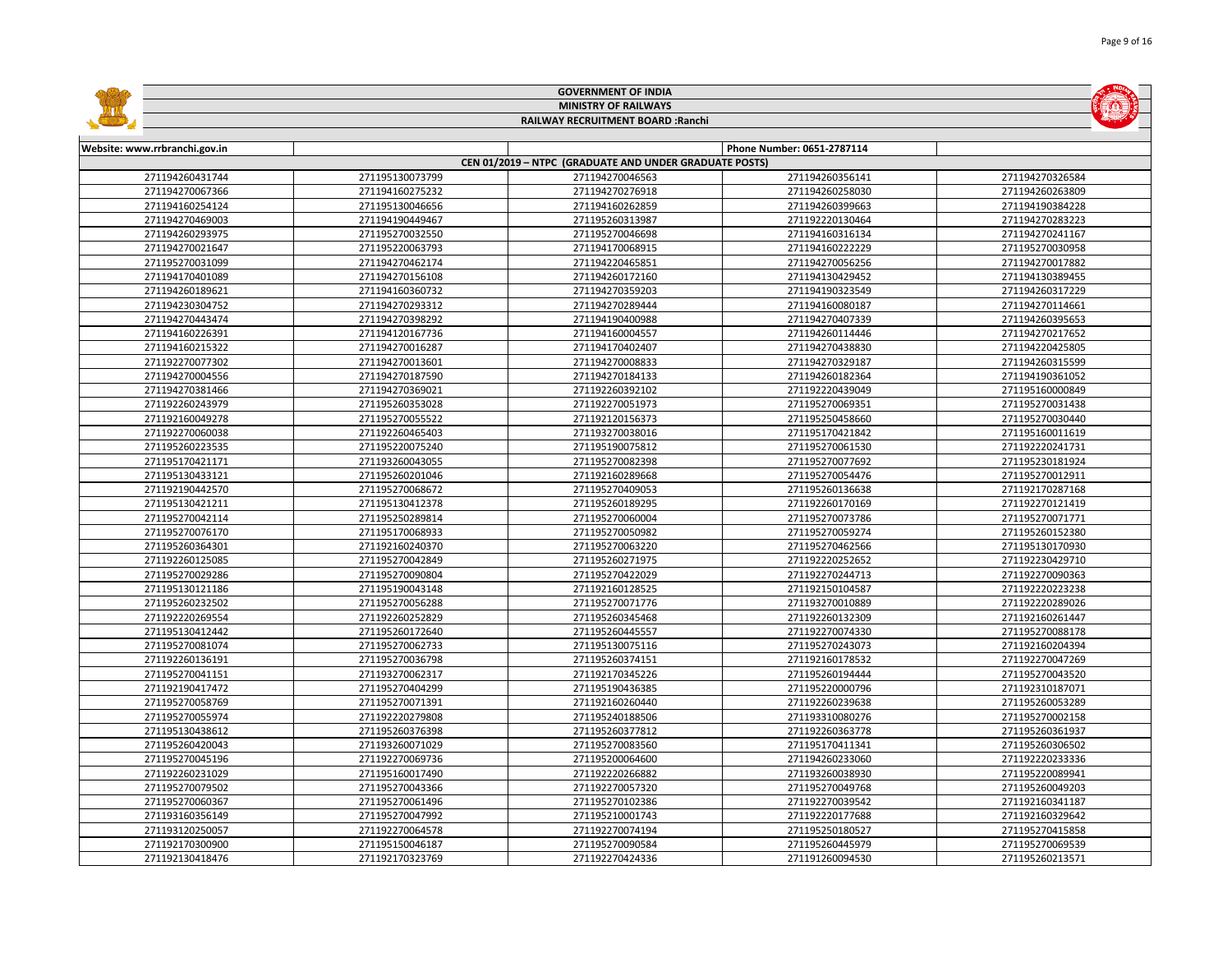|                                    |                 | <b>GOVERNMENT OF INDIA</b>                             |                            |                 |  |
|------------------------------------|-----------------|--------------------------------------------------------|----------------------------|-----------------|--|
|                                    |                 | <b>MINISTRY OF RAILWAYS</b>                            |                            |                 |  |
| RAILWAY RECRUITMENT BOARD : Ranchi |                 |                                                        |                            |                 |  |
| Website: www.rrbranchi.gov.in      |                 |                                                        | Phone Number: 0651-2787114 |                 |  |
|                                    |                 | CEN 01/2019 - NTPC (GRADUATE AND UNDER GRADUATE POSTS) |                            |                 |  |
| 271194260431744                    | 271195130073799 | 271194270046563                                        | 271194260356141            | 271194270326584 |  |
| 271194270067366                    | 271194160275232 | 271194270276918                                        | 271194260258030            | 271194260263809 |  |
| 271194160254124                    | 271195130046656 | 271194160262859                                        | 271194260399663            | 271194190384228 |  |
| 271194270469003                    | 271194190449467 | 271195260313987                                        | 271192220130464            | 271194270283223 |  |
| 271194260293975                    | 271195270032550 | 271195270046698                                        | 271194160316134            | 271194270241167 |  |
| 271194270021647                    | 271195220063793 | 271194170068915                                        | 271194160222229            | 271195270030958 |  |
| 271195270031099                    | 271194270462174 | 271194220465851                                        | 271194270056256            | 271194270017882 |  |
| 271194170401089                    | 271194270156108 | 271194260172160                                        | 271194130429452            | 271194130389455 |  |
| 271194260189621                    | 271194160360732 | 271194270359203                                        | 271194190323549            | 271194260317229 |  |
| 271194230304752                    | 271194270293312 | 271194270289444                                        | 271194160080187            | 271194270114661 |  |
| 271194270443474                    | 271194270398292 | 271194190400988                                        | 271194270407339            | 271194260395653 |  |
| 271194160226391                    | 271194120167736 | 271194160004557                                        | 271194260114446            | 271194270217652 |  |
| 271194160215322                    | 271194270016287 | 271194170402407                                        | 271194270438830            | 271194220425805 |  |
| 271192270077302                    | 271194270013601 | 271194270008833                                        | 271194270329187            | 271194260315599 |  |
| 271194270004556                    | 271194270187590 | 271194270184133                                        | 271194260182364            | 271194190361052 |  |
| 271194270381466                    | 271194270369021 | 271192260392102                                        | 271192220439049            | 271195160000849 |  |
| 271192260243979                    | 271195260353028 | 271192270051973                                        | 271195270069351            | 271195270031438 |  |
| 271192160049278                    | 271195270055522 | 271192120156373                                        | 271195250458660            | 271195270030440 |  |
| 271192270060038                    | 271192260465403 | 271193270038016                                        | 271195170421842            | 271195160011619 |  |
| 271195260223535                    | 271195220075240 | 271195190075812                                        | 271195270061530            | 271192220241731 |  |
| 271195170421171                    | 271193260043055 | 271195270082398                                        | 271195270077692            | 271195230181924 |  |
| 271195130433121                    | 271195260201046 | 271192160289668                                        | 271195270054476            | 271195270012911 |  |
| 271192190442570                    | 271195270068672 | 271195270409053                                        | 271195260136638            | 271192170287168 |  |
| 271195130421211                    | 271195130412378 | 271195260189295                                        | 271192260170169            | 271192270121419 |  |
| 271195270042114                    | 271195250289814 | 271195270060004                                        | 271195270073786            | 271195270071771 |  |
| 271195270076170                    | 271195170068933 | 271195270050982                                        | 271195270059274            | 271195260152380 |  |
| 271195260364301                    | 271192160240370 | 271195270063220                                        | 271195270462566            | 271195130170930 |  |
| 271192260125085                    | 271195270042849 | 271195260271975                                        | 271192220252652            | 271192230429710 |  |
| 271195270029286                    | 271195270090804 | 271195270422029                                        | 271192270244713            | 271192270090363 |  |
| 271195130121186                    | 271195190043148 | 271192160128525                                        | 271192150104587            | 271192220223238 |  |
| 271195260232502                    | 271195270056288 | 271195270071776                                        | 271193270010889            | 271192220289026 |  |
| 271192220269554                    | 271192260252829 | 271195260345468                                        | 271192260132309            | 271192160261447 |  |
| 271195130412442                    | 271195260172640 | 271195260445557                                        | 271192270074330            | 271195270088178 |  |
| 271195270081074                    | 271195270062733 | 271195130075116                                        | 271195270243073            | 271192160204394 |  |
| 271192260136191                    | 271195270036798 | 271195260374151                                        | 271192160178532            | 271192270047269 |  |
| 271195270041151                    | 271193270062317 | 271192170345226                                        | 271195260194444            | 271195270043520 |  |
| 271192190417472                    | 271195270404299 | 271195190436385                                        | 271195220000796            | 271192310187071 |  |
| 271195270058769                    | 271195270071391 | 271192160260440                                        | 271192260239638            | 271195260053289 |  |
| 271195270055974                    | 271192220279808 | 271195240188506                                        | 271193310080276            | 271195270002158 |  |
| 271195130438612                    | 271195260376398 | 271195260377812                                        | 271192260363778            | 271195260361937 |  |
| 271195260420043                    | 271193260071029 | 271195270083560                                        | 271195170411341            | 271195260306502 |  |
| 271195270045196                    | 271192270069736 | 271195200064600                                        | 271194260233060            | 271192220233336 |  |
| 271192260231029                    | 271195160017490 | 271192220266882                                        | 271193260038930            | 271195220089941 |  |
| 271195270079502                    | 271195270043366 | 271192270057320                                        | 271195270049768            | 271195260049203 |  |
| 271195270060367                    | 271195270061496 | 271195270102386                                        | 271192270039542            | 271192160341187 |  |
| 271193160356149                    | 271195270047992 | 271195210001743                                        | 271192220177688            | 271192160329642 |  |
| 271193120250057                    | 271192270064578 | 271192270074194                                        | 271195250180527            | 271195270415858 |  |
| 271192170300900                    | 271195150046187 | 271195270090584                                        | 271195260445979            | 271195270069539 |  |
| 271192130418476                    | 271192170323769 | 271192270424336                                        | 271191260094530            | 271195260213571 |  |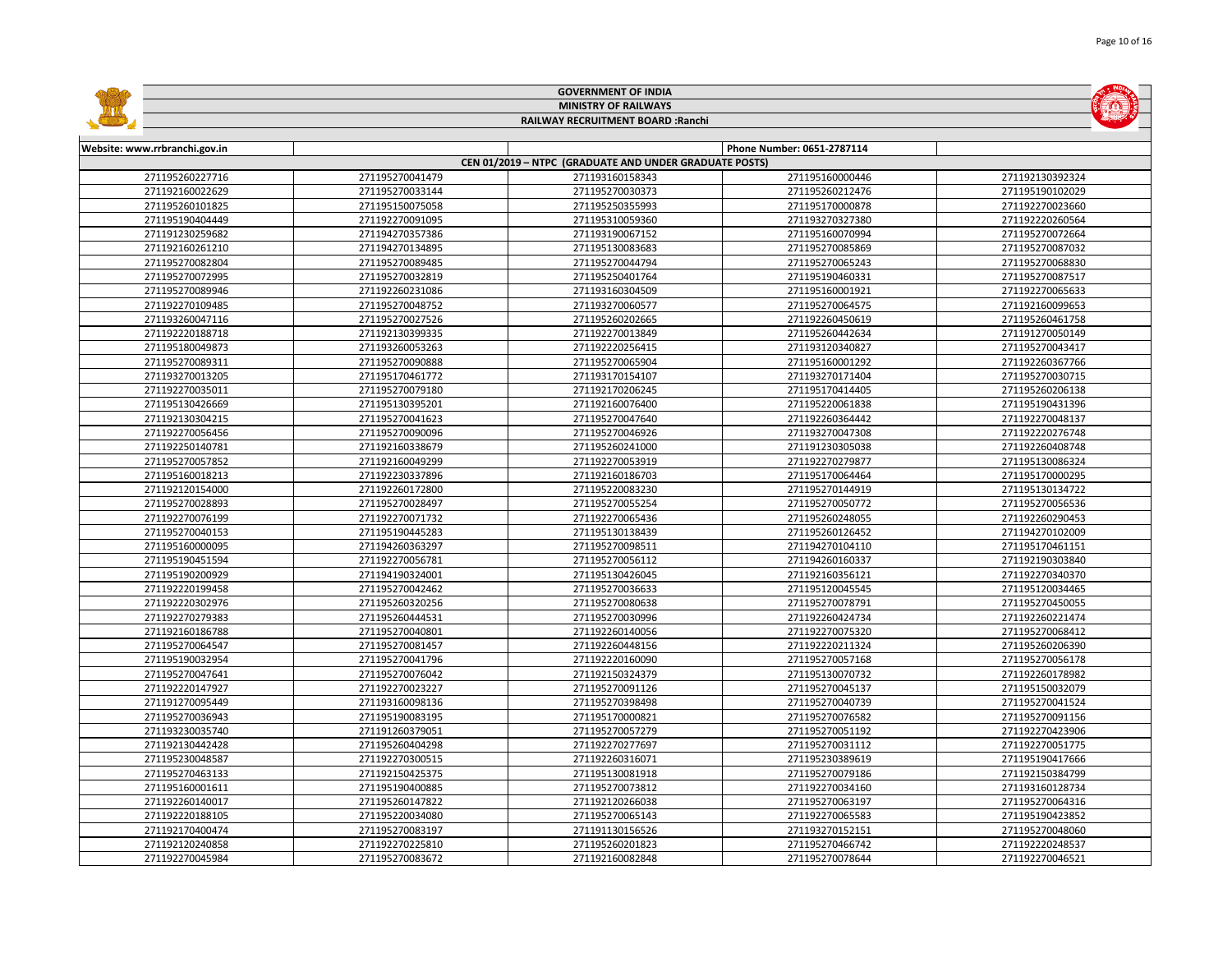|                                    |                                    | <b>GOVERNMENT OF INDIA</b>                             |                                    |                                    |  |  |
|------------------------------------|------------------------------------|--------------------------------------------------------|------------------------------------|------------------------------------|--|--|
|                                    | <b>MINISTRY OF RAILWAYS</b>        |                                                        |                                    |                                    |  |  |
|                                    |                                    | RAILWAY RECRUITMENT BOARD : Ranchi                     |                                    |                                    |  |  |
|                                    |                                    |                                                        |                                    |                                    |  |  |
| Website: www.rrbranchi.gov.in      |                                    |                                                        | Phone Number: 0651-2787114         |                                    |  |  |
|                                    |                                    | CEN 01/2019 - NTPC (GRADUATE AND UNDER GRADUATE POSTS) |                                    |                                    |  |  |
| 271195260227716                    | 271195270041479                    | 271193160158343                                        | 271195160000446                    | 271192130392324                    |  |  |
| 271192160022629                    | 271195270033144                    | 271195270030373                                        | 271195260212476                    | 271195190102029                    |  |  |
| 271195260101825                    | 271195150075058                    | 271195250355993                                        | 271195170000878                    | 271192270023660                    |  |  |
| 271195190404449                    | 271192270091095                    | 271195310059360                                        | 271193270327380                    | 271192220260564                    |  |  |
| 271191230259682                    | 271194270357386                    | 271193190067152                                        | 271195160070994                    | 271195270072664                    |  |  |
| 271192160261210                    | 271194270134895                    | 271195130083683                                        | 271195270085869                    | 271195270087032                    |  |  |
| 271195270082804                    | 271195270089485                    | 271195270044794                                        | 271195270065243                    | 271195270068830                    |  |  |
| 271195270072995                    | 271195270032819                    | 271195250401764                                        | 271195190460331                    | 271195270087517                    |  |  |
| 271195270089946                    | 271192260231086                    | 271193160304509                                        | 271195160001921                    | 271192270065633                    |  |  |
| 271192270109485                    | 271195270048752                    | 271193270060577                                        | 271195270064575                    | 271192160099653                    |  |  |
| 271193260047116                    | 271195270027526                    | 271195260202665                                        | 271192260450619                    | 271195260461758                    |  |  |
| 271192220188718                    | 271192130399335                    | 271192270013849                                        | 271195260442634                    | 271191270050149                    |  |  |
| 271195180049873                    | 271193260053263                    | 271192220256415                                        | 271193120340827                    | 271195270043417                    |  |  |
| 271195270089311                    | 271195270090888                    | 271195270065904                                        | 271195160001292                    | 271192260367766                    |  |  |
| 271193270013205                    | 271195170461772                    | 271193170154107                                        | 271193270171404                    | 271195270030715                    |  |  |
| 271192270035011                    | 271195270079180                    | 271192170206245                                        | 271195170414405                    | 271195260206138                    |  |  |
| 271195130426669                    | 271195130395201                    | 271192160076400                                        | 271195220061838                    | 271195190431396                    |  |  |
| 271192130304215                    | 271195270041623                    | 271195270047640                                        | 271192260364442                    | 271192270048137                    |  |  |
| 271192270056456                    | 271195270090096                    | 271195270046926                                        | 271193270047308                    | 271192220276748                    |  |  |
| 271192250140781                    | 271192160338679                    | 271195260241000                                        | 271191230305038                    | 271192260408748                    |  |  |
| 271195270057852                    | 271192160049299                    | 271192270053919                                        | 271192270279877                    | 271195130086324                    |  |  |
| 271195160018213                    | 271192230337896                    | 271192160186703                                        | 271195170064464                    | 271195170000295                    |  |  |
| 271192120154000                    | 271192260172800                    | 271195220083230                                        | 271195270144919                    | 271195130134722                    |  |  |
| 271195270028893                    | 271195270028497                    | 271195270055254                                        | 271195270050772                    | 271195270056536                    |  |  |
| 271192270076199                    | 271192270071732                    | 271192270065436                                        | 271195260248055                    | 271192260290453                    |  |  |
| 271195270040153                    | 271195190445283                    | 271195130138439                                        | 271195260126452                    | 271194270102009                    |  |  |
| 271195160000095                    | 271194260363297                    | 271195270098511                                        | 271194270104110                    | 271195170461151                    |  |  |
| 271195190451594                    | 271192270056781                    | 271195270056112                                        | 271194260160337                    | 271192190303840                    |  |  |
| 271195190200929                    | 271194190324001                    | 271195130426045                                        | 271192160356121                    | 271192270340370                    |  |  |
| 271192220199458                    | 271195270042462                    | 271195270036633                                        | 271195120045545                    | 271195120034465                    |  |  |
| 271192220302976                    | 271195260320256                    | 271195270080638                                        | 271195270078791                    | 271195270450055                    |  |  |
| 271192270279383                    | 271195260444531                    | 271195270030996                                        | 271192260424734                    | 271192260221474                    |  |  |
| 271192160186788                    | 271195270040801                    | 271192260140056                                        | 271192270075320                    | 271195270068412                    |  |  |
| 271195270064547                    | 271195270081457                    | 271192260448156                                        | 271192220211324                    | 271195260206390                    |  |  |
| 271195190032954                    | 271195270041796                    | 271192220160090                                        | 271195270057168                    | 271195270056178                    |  |  |
| 271195270047641                    | 271195270076042                    | 271192150324379                                        | 271195130070732                    | 271192260178982                    |  |  |
| 271192220147927                    | 271192270023227                    | 271195270091126                                        | 271195270045137                    | 271195150032079                    |  |  |
| 271191270095449                    | 271193160098136                    | 271195270398498                                        | 271195270040739                    | 271195270041524                    |  |  |
| 271195270036943                    | 271195190083195                    | 271195170000821                                        | 271195270076582                    | 271195270091156                    |  |  |
| 271193230035740                    | 271191260379051                    | 271195270057279                                        | 271195270051192                    | 271192270423906                    |  |  |
| 271192130442428                    | 271195260404298                    | 271192270277697                                        | 271195270031112                    | 271192270051775                    |  |  |
| 271195230048587                    | 271192270300515                    | 271192260316071                                        | 271195230389619                    | 271195190417666                    |  |  |
| 271195270463133                    | 271192150425375                    | 271195130081918                                        | 271195270079186                    | 271192150384799                    |  |  |
| 271195160001611                    | 271195190400885                    | 271195270073812                                        | 271192270034160                    | 271193160128734                    |  |  |
| 271192260140017                    | 271195260147822                    | 271192120266038                                        | 271195270063197                    | 271195270064316                    |  |  |
| 271192220188105<br>271192170400474 | 271195220034080<br>271195270083197 | 271195270065143<br>271191130156526                     | 271192270065583<br>271193270152151 | 271195190423852<br>271195270048060 |  |  |
| 271192120240858                    | 271192270225810                    | 271195260201823                                        | 271195270466742                    | 271192220248537                    |  |  |
| 271192270045984                    | 271195270083672                    | 271192160082848                                        | 271195270078644                    | 271192270046521                    |  |  |
|                                    |                                    |                                                        |                                    |                                    |  |  |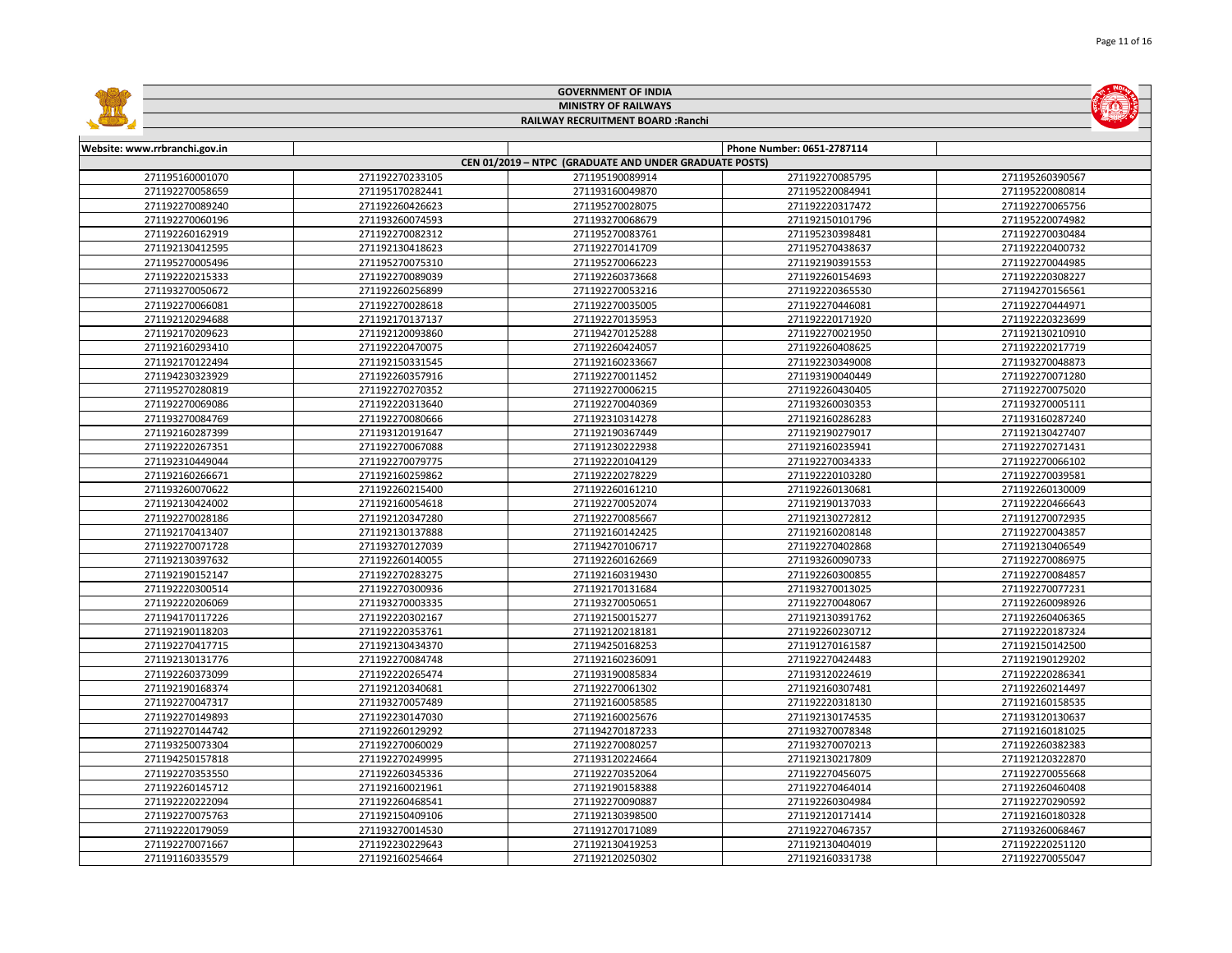|                                    |                                    | <b>GOVERNMENT OF INDIA</b>                             |                                    |                                    |  |  |
|------------------------------------|------------------------------------|--------------------------------------------------------|------------------------------------|------------------------------------|--|--|
|                                    | <b>MINISTRY OF RAILWAYS</b>        |                                                        |                                    |                                    |  |  |
|                                    |                                    | RAILWAY RECRUITMENT BOARD : Ranchi                     |                                    |                                    |  |  |
|                                    |                                    |                                                        |                                    |                                    |  |  |
| Website: www.rrbranchi.gov.in      |                                    |                                                        | Phone Number: 0651-2787114         |                                    |  |  |
|                                    |                                    | CEN 01/2019 - NTPC (GRADUATE AND UNDER GRADUATE POSTS) |                                    |                                    |  |  |
| 271195160001070                    | 271192270233105                    | 271195190089914                                        | 271192270085795                    | 271195260390567                    |  |  |
| 271192270058659                    | 271195170282441                    | 271193160049870                                        | 271195220084941                    | 271195220080814                    |  |  |
| 271192270089240                    | 271192260426623                    | 271195270028075                                        | 271192220317472                    | 271192270065756                    |  |  |
| 271192270060196                    | 271193260074593                    | 271193270068679                                        | 271192150101796                    | 271195220074982                    |  |  |
| 271192260162919                    | 271192270082312                    | 271195270083761                                        | 271195230398481                    | 271192270030484                    |  |  |
| 271192130412595                    | 271192130418623                    | 271192270141709                                        | 271195270438637                    | 271192220400732                    |  |  |
| 271195270005496                    | 271195270075310                    | 271195270066223                                        | 271192190391553                    | 271192270044985                    |  |  |
| 271192220215333                    | 271192270089039                    | 271192260373668                                        | 271192260154693                    | 271192220308227                    |  |  |
| 271193270050672                    | 271192260256899                    | 271192270053216                                        | 271192220365530                    | 271194270156561                    |  |  |
| 271192270066081                    | 271192270028618                    | 271192270035005                                        | 271192270446081                    | 271192270444971                    |  |  |
| 271192120294688                    | 271192170137137                    | 271192270135953                                        | 271192220171920                    | 271192220323699                    |  |  |
| 271192170209623                    | 271192120093860                    | 271194270125288                                        | 271192270021950                    | 271192130210910                    |  |  |
| 271192160293410                    | 271192220470075                    | 271192260424057                                        | 271192260408625                    | 271192220217719                    |  |  |
| 271192170122494                    | 271192150331545                    | 271192160233667                                        | 271192230349008                    | 271193270048873                    |  |  |
| 271194230323929                    | 271192260357916                    | 271192270011452                                        | 271193190040449                    | 271192270071280                    |  |  |
| 271195270280819                    | 271192270270352                    | 271192270006215                                        | 271192260430405                    | 271192270075020                    |  |  |
| 271192270069086                    | 271192220313640                    | 271192270040369                                        | 271193260030353                    | 271193270005111                    |  |  |
| 271193270084769                    | 271192270080666                    | 271192310314278                                        | 271192160286283                    | 271193160287240                    |  |  |
| 271192160287399                    | 271193120191647                    | 271192190367449                                        | 271192190279017                    | 271192130427407                    |  |  |
| 271192220267351                    | 271192270067088                    | 271191230222938                                        | 271192160235941                    | 271192270271431                    |  |  |
| 271192310449044                    | 271192270079775                    | 271192220104129                                        | 271192270034333                    | 271192270066102                    |  |  |
| 271192160266671                    | 271192160259862                    | 271192220278229                                        | 271192220103280                    | 271192270039581                    |  |  |
| 271193260070622                    | 271192260215400                    | 271192260161210                                        | 271192260130681                    | 271192260130009                    |  |  |
| 271192130424002                    | 271192160054618                    | 271192270052074                                        | 271192190137033                    | 271192220466643                    |  |  |
| 271192270028186                    | 271192120347280                    | 271192270085667                                        | 271192130272812                    | 271191270072935                    |  |  |
| 271192170413407                    | 271192130137888                    | 271192160142425                                        | 271192160208148                    | 271192270043857                    |  |  |
| 271192270071728                    | 271193270127039                    | 271194270106717                                        | 271192270402868                    | 271192130406549                    |  |  |
| 271192130397632                    | 271192260140055                    | 271192260162669                                        | 271193260090733                    | 271192270086975                    |  |  |
| 271192190152147                    | 271192270283275                    | 271192160319430                                        | 271192260300855                    | 271192270084857                    |  |  |
| 271192220300514                    | 271192270300936                    | 271192170131684                                        | 271193270013025                    | 271192270077231                    |  |  |
| 271192220206069                    | 271193270003335                    | 271193270050651                                        | 271192270048067                    | 271192260098926                    |  |  |
| 271194170117226                    | 271192220302167                    | 271192150015277                                        | 271192130391762                    | 271192260406365                    |  |  |
| 271192190118203                    | 271192220353761                    | 271192120218181                                        | 271192260230712                    | 271192220187324                    |  |  |
| 271192270417715                    | 271192130434370                    | 271194250168253                                        | 271191270161587                    | 271192150142500                    |  |  |
| 271192130131776                    | 271192270084748                    | 271192160236091                                        | 271192270424483                    | 271192190129202                    |  |  |
| 271192260373099                    | 271192220265474                    | 271193190085834                                        | 271193120224619                    | 271192220286341                    |  |  |
| 271192190168374                    | 271192120340681                    | 271192270061302                                        | 271192160307481                    | 271192260214497                    |  |  |
| 271192270047317                    | 271193270057489                    | 271192160058585                                        | 271192220318130                    | 271192160158535                    |  |  |
| 271192270149893                    | 271192230147030                    | 271192160025676                                        | 271192130174535                    | 271193120130637                    |  |  |
| 271192270144742                    | 271192260129292                    | 271194270187233                                        | 271193270078348                    | 271192160181025                    |  |  |
| 271193250073304                    | 271192270060029                    | 271192270080257                                        | 271193270070213                    | 271192260382383                    |  |  |
| 271194250157818<br>271192270353550 | 271192270249995<br>271192260345336 | 271193120224664<br>271192270352064                     | 271192130217809<br>271192270456075 | 271192120322870<br>271192270055668 |  |  |
| 271192260145712                    | 271192160021961                    | 271192190158388                                        | 271192270464014                    | 271192260460408                    |  |  |
|                                    | 271192260468541                    | 271192270090887                                        | 271192260304984                    |                                    |  |  |
| 271192220222094<br>271192270075763 | 271192150409106                    | 271192130398500                                        | 271192120171414                    | 271192270290592<br>271192160180328 |  |  |
| 271192220179059                    | 271193270014530                    | 271191270171089                                        | 271192270467357                    | 271193260068467                    |  |  |
| 271192270071667                    | 271192230229643                    | 271192130419253                                        | 271192130404019                    | 271192220251120                    |  |  |
| 271191160335579                    | 271192160254664                    | 271192120250302                                        | 271192160331738                    | 271192270055047                    |  |  |
|                                    |                                    |                                                        |                                    |                                    |  |  |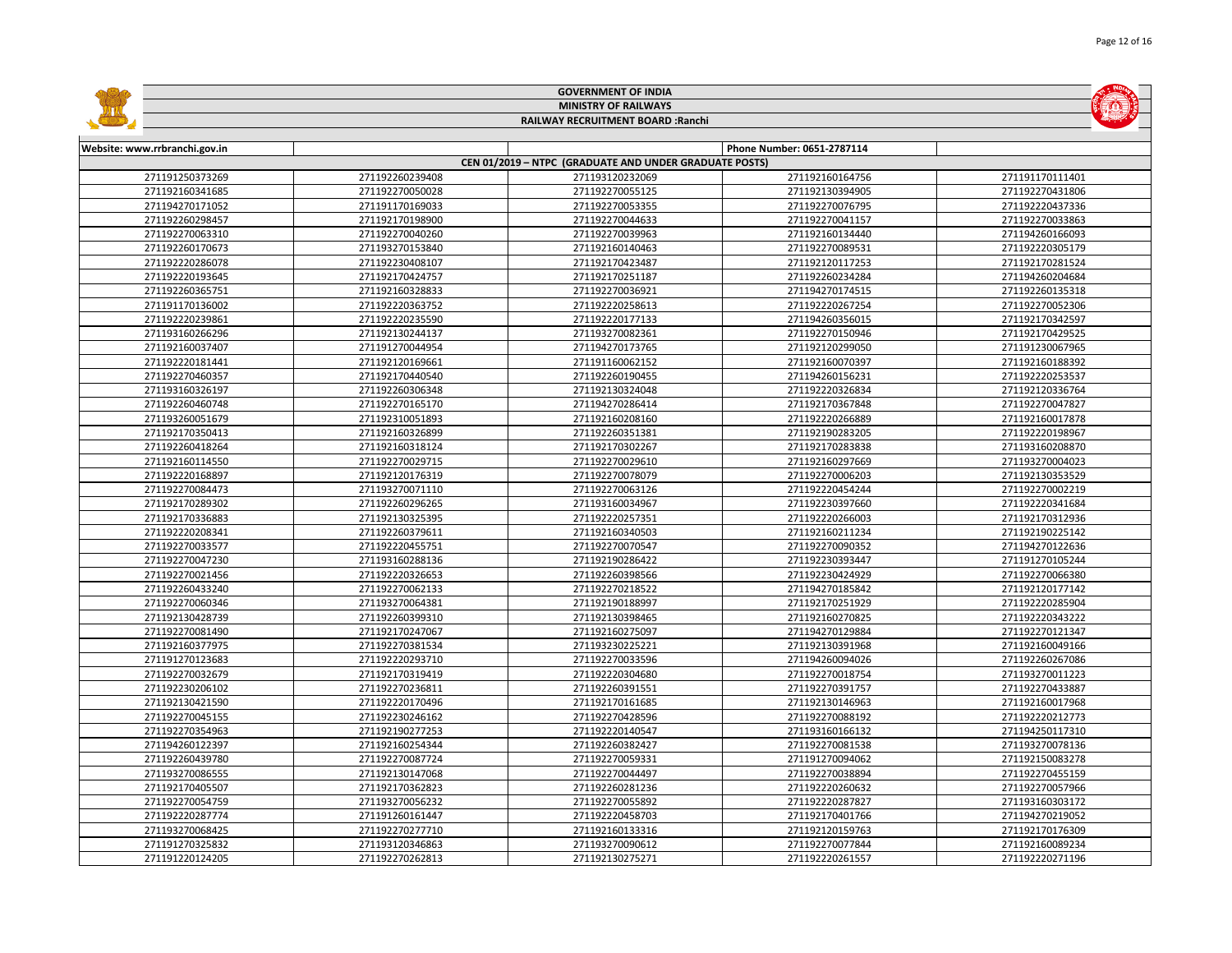|                               |                             | <b>GOVERNMENT OF INDIA</b>                             |                            |                 |  |  |
|-------------------------------|-----------------------------|--------------------------------------------------------|----------------------------|-----------------|--|--|
|                               | <b>MINISTRY OF RAILWAYS</b> |                                                        |                            |                 |  |  |
|                               |                             | RAILWAY RECRUITMENT BOARD : Ranchi                     |                            |                 |  |  |
|                               |                             |                                                        |                            |                 |  |  |
| Website: www.rrbranchi.gov.in |                             |                                                        | Phone Number: 0651-2787114 |                 |  |  |
|                               |                             | CEN 01/2019 - NTPC (GRADUATE AND UNDER GRADUATE POSTS) |                            |                 |  |  |
| 271191250373269               | 271192260239408             | 271193120232069                                        | 271192160164756            | 271191170111401 |  |  |
| 271192160341685               | 271192270050028             | 271192270055125                                        | 271192130394905            | 271192270431806 |  |  |
| 271194270171052               | 271191170169033             | 271192270053355                                        | 271192270076795            | 271192220437336 |  |  |
| 271192260298457               | 271192170198900             | 271192270044633                                        | 271192270041157            | 271192270033863 |  |  |
| 271192270063310               | 271192270040260             | 271192270039963                                        | 271192160134440            | 271194260166093 |  |  |
| 271192260170673               | 271193270153840             | 271192160140463                                        | 271192270089531            | 271192220305179 |  |  |
| 271192220286078               | 271192230408107             | 271192170423487                                        | 271192120117253            | 271192170281524 |  |  |
| 271192220193645               | 271192170424757             | 271192170251187                                        | 271192260234284            | 271194260204684 |  |  |
| 271192260365751               | 271192160328833             | 271192270036921                                        | 271194270174515            | 271192260135318 |  |  |
| 271191170136002               | 271192220363752             | 271192220258613                                        | 271192220267254            | 271192270052306 |  |  |
| 271192220239861               | 271192220235590             | 271192220177133                                        | 271194260356015            | 271192170342597 |  |  |
| 271193160266296               | 271192130244137             | 271193270082361                                        | 271192270150946            | 271192170429525 |  |  |
| 271192160037407               | 271191270044954             | 271194270173765                                        | 271192120299050            | 271191230067965 |  |  |
| 271192220181441               | 271192120169661             | 271191160062152                                        | 271192160070397            | 271192160188392 |  |  |
| 271192270460357               | 271192170440540             | 271192260190455                                        | 271194260156231            | 271192220253537 |  |  |
| 271193160326197               | 271192260306348             | 271192130324048                                        | 271192220326834            | 271192120336764 |  |  |
| 271192260460748               | 271192270165170             | 271194270286414                                        | 271192170367848            | 271192270047827 |  |  |
| 271193260051679               | 271192310051893             | 271192160208160                                        | 271192220266889            | 271192160017878 |  |  |
| 271192170350413               | 271192160326899             | 271192260351381                                        | 271192190283205            | 271192220198967 |  |  |
| 271192260418264               | 271192160318124             | 271192170302267                                        | 271192170283838            | 271193160208870 |  |  |
| 271192160114550               | 271192270029715             | 271192270029610                                        | 271192160297669            | 271193270004023 |  |  |
| 271192220168897               | 271192120176319             | 271192270078079                                        | 271192270006203            | 271192130353529 |  |  |
| 271192270084473               | 271193270071110             | 271192270063126                                        | 271192220454244            | 271192270002219 |  |  |
| 271192170289302               | 271192260296265             | 271193160034967                                        | 271192230397660            | 271192220341684 |  |  |
| 271192170336883               | 271192130325395             | 271192220257351                                        | 271192220266003            | 271192170312936 |  |  |
| 271192220208341               | 271192260379611             | 271192160340503                                        | 271192160211234            | 271192190225142 |  |  |
| 271192270033577               | 271192220455751             | 271192270070547                                        | 271192270090352            | 271194270122636 |  |  |
| 271192270047230               | 271193160288136             | 271192190286422                                        | 271192230393447            | 271191270105244 |  |  |
| 271192270021456               | 271192220326653             | 271192260398566                                        | 271192230424929            | 271192270066380 |  |  |
| 271192260433240               | 271192270062133             | 271192270218522                                        | 271194270185842            | 271192120177142 |  |  |
| 271192270060346               | 271193270064381             | 271192190188997                                        | 271192170251929            | 271192220285904 |  |  |
| 271192130428739               | 271192260399310             | 271192130398465                                        | 271192160270825            | 271192220343222 |  |  |
| 271192270081490               | 271192170247067             | 271192160275097                                        | 271194270129884            | 271192270121347 |  |  |
| 271192160377975               | 271192270381534             | 271193230225221                                        | 271192130391968            | 271192160049166 |  |  |
| 271191270123683               | 271192220293710             | 271192270033596                                        | 271194260094026            | 271192260267086 |  |  |
| 271192270032679               | 271192170319419             | 271192220304680                                        | 271192270018754            | 271193270011223 |  |  |
| 271192230206102               | 271192270236811             | 271192260391551                                        | 271192270391757            | 271192270433887 |  |  |
| 271192130421590               | 271192220170496             | 271192170161685                                        | 271192130146963            | 271192160017968 |  |  |
| 271192270045155               | 271192230246162             | 271192270428596                                        | 271192270088192            | 271192220212773 |  |  |
| 271192270354963               | 271192190277253             | 271192220140547                                        | 271193160166132            | 271194250117310 |  |  |
| 271194260122397               | 271192160254344             | 271192260382427                                        | 271192270081538            | 271193270078136 |  |  |
| 271192260439780               | 271192270087724             | 271192270059331                                        | 271191270094062            | 271192150083278 |  |  |
| 271193270086555               | 271192130147068             | 271192270044497                                        | 271192270038894            | 271192270455159 |  |  |
| 271192170405507               | 271192170362823             | 271192260281236                                        | 271192220260632            | 271192270057966 |  |  |
| 271192270054759               | 271193270056232             | 271192270055892                                        | 271192220287827            | 271193160303172 |  |  |
| 271192220287774               | 271191260161447             | 271192220458703                                        | 271192170401766            | 271194270219052 |  |  |
| 271193270068425               | 271192270277710             | 271192160133316                                        | 271192120159763            | 271192170176309 |  |  |
| 271191270325832               | 271193120346863             | 271193270090612                                        | 271192270077844            | 271192160089234 |  |  |
| 271191220124205               | 271192270262813             | 271192130275271                                        | 271192220261557            | 271192220271196 |  |  |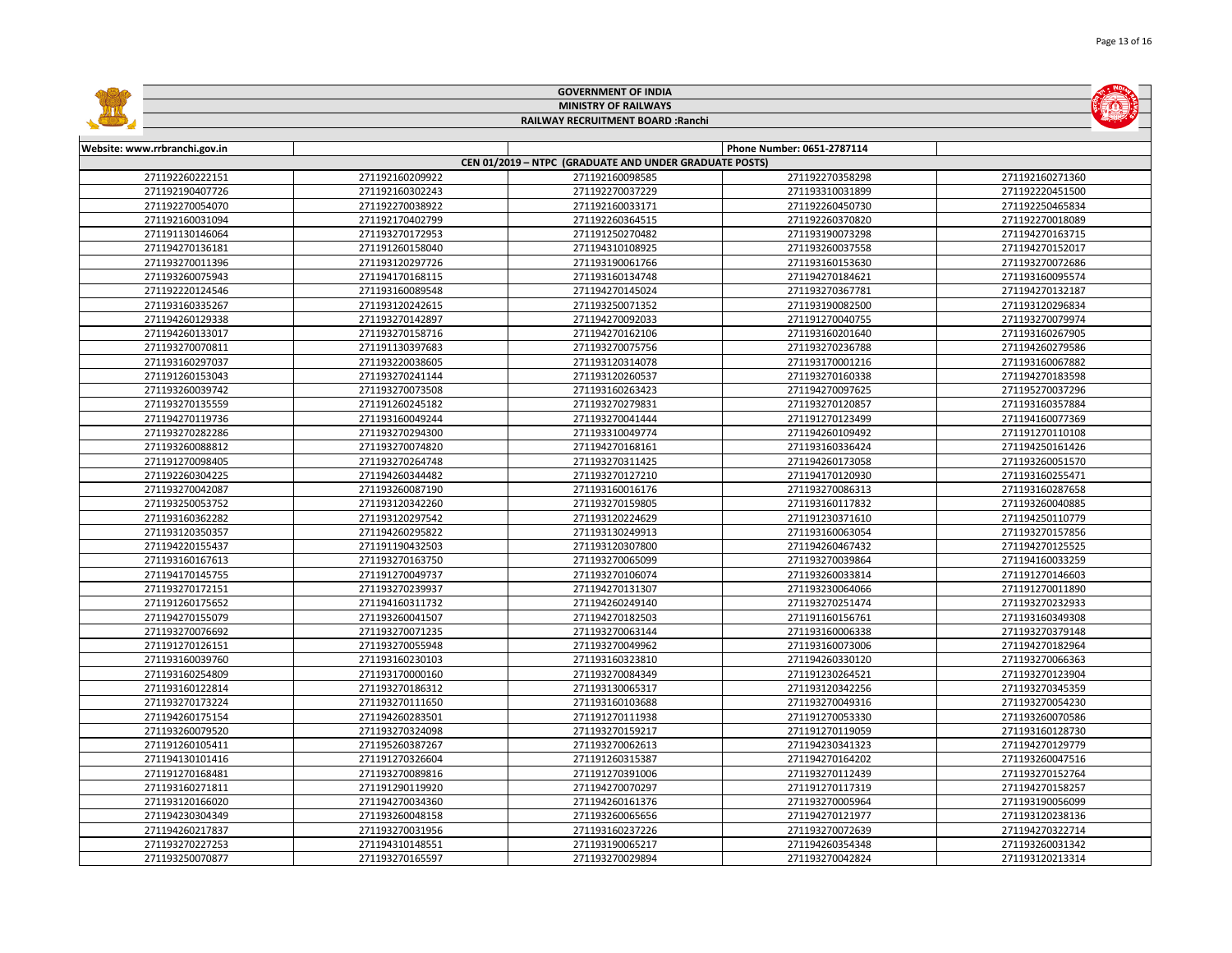|                               |                 | <b>GOVERNMENT OF INDIA</b>                             |                            |                 |
|-------------------------------|-----------------|--------------------------------------------------------|----------------------------|-----------------|
| <b>MINISTRY OF RAILWAYS</b>   |                 |                                                        |                            |                 |
|                               |                 | RAILWAY RECRUITMENT BOARD : Ranchi                     |                            |                 |
|                               |                 |                                                        |                            |                 |
| Website: www.rrbranchi.gov.in |                 |                                                        | Phone Number: 0651-2787114 |                 |
|                               |                 | CEN 01/2019 - NTPC (GRADUATE AND UNDER GRADUATE POSTS) |                            |                 |
| 271192260222151               | 271192160209922 | 271192160098585                                        | 271192270358298            | 271192160271360 |
| 271192190407726               | 271192160302243 | 271192270037229                                        | 271193310031899            | 271192220451500 |
| 271192270054070               | 271192270038922 | 271192160033171                                        | 271192260450730            | 271192250465834 |
| 271192160031094               | 271192170402799 | 271192260364515                                        | 271192260370820            | 271192270018089 |
| 271191130146064               | 271193270172953 | 271191250270482                                        | 271193190073298            | 271194270163715 |
| 271194270136181               | 271191260158040 | 271194310108925                                        | 271193260037558            | 271194270152017 |
| 271193270011396               | 271193120297726 | 271193190061766                                        | 271193160153630            | 271193270072686 |
| 271193260075943               | 271194170168115 | 271193160134748                                        | 271194270184621            | 271193160095574 |
| 271192220124546               | 271193160089548 | 271194270145024                                        | 271193270367781            | 271194270132187 |
| 271193160335267               | 271193120242615 | 271193250071352                                        | 271193190082500            | 271193120296834 |
| 271194260129338               | 271193270142897 | 271194270092033                                        | 271191270040755            | 271193270079974 |
| 271194260133017               | 271193270158716 | 271194270162106                                        | 271193160201640            | 271193160267905 |
| 271193270070811               | 271191130397683 | 271193270075756                                        | 271193270236788            | 271194260279586 |
| 271193160297037               | 271193220038605 | 271193120314078                                        | 271193170001216            | 271193160067882 |
| 271191260153043               | 271193270241144 | 271193120260537                                        | 271193270160338            | 271194270183598 |
| 271193260039742               | 271193270073508 | 271193160263423                                        | 271194270097625            | 271195270037296 |
| 271193270135559               | 271191260245182 | 271193270279831                                        | 271193270120857            | 271193160357884 |
| 271194270119736               | 271193160049244 | 271193270041444                                        | 271191270123499            | 271194160077369 |
| 271193270282286               | 271193270294300 | 271193310049774                                        | 271194260109492            | 271191270110108 |
| 271193260088812               | 271193270074820 | 271194270168161                                        | 271193160336424            | 271194250161426 |
| 271191270098405               | 271193270264748 | 271193270311425                                        | 271194260173058            | 271193260051570 |
| 271192260304225               | 271194260344482 | 271193270127210                                        | 271194170120930            | 271193160255471 |
| 271193270042087               | 271193260087190 | 271193160016176                                        | 271193270086313            | 271193160287658 |
| 271193250053752               | 271193120342260 | 271193270159805                                        | 271193160117832            | 271193260040885 |
| 271193160362282               | 271193120297542 | 271193120224629                                        | 271191230371610            | 271194250110779 |
| 271193120350357               | 271194260295822 | 271193130249913                                        | 271193160063054            | 271193270157856 |
| 271194220155437               | 271191190432503 | 271193120307800                                        | 271194260467432            | 271194270125525 |
| 271193160167613               | 271193270163750 | 271193270065099                                        | 271193270039864            | 271194160033259 |
| 271194170145755               | 271191270049737 | 271193270106074                                        | 271193260033814            | 271191270146603 |
| 271193270172151               | 271193270239937 | 271194270131307                                        | 271193230064066            | 271191270011890 |
| 271191260175652               | 271194160311732 | 271194260249140                                        | 271193270251474            | 271193270232933 |
| 271194270155079               | 271193260041507 | 271194270182503                                        | 271191160156761            | 271193160349308 |
| 271193270076692               | 271193270071235 | 271193270063144                                        | 271193160006338            | 271193270379148 |
| 271191270126151               | 271193270055948 | 271193270049962                                        | 271193160073006            | 271194270182964 |
| 271193160039760               | 271193160230103 | 271193160323810                                        | 271194260330120            | 271193270066363 |
| 271193160254809               | 271193170000160 | 271193270084349                                        | 271191230264521            | 271193270123904 |
| 271193160122814               | 271193270186312 | 271193130065317                                        | 271193120342256            | 271193270345359 |
| 271193270173224               | 271193270111650 | 271193160103688                                        | 271193270049316            | 271193270054230 |
| 271194260175154               | 271194260283501 | 271191270111938                                        | 271191270053330            | 271193260070586 |
| 271193260079520               | 271193270324098 | 271193270159217                                        | 271191270119059            | 271193160128730 |
| 271191260105411               | 271195260387267 | 271193270062613                                        | 271194230341323            | 271194270129779 |
| 271194130101416               | 271191270326604 | 271191260315387                                        | 271194270164202            | 271193260047516 |
| 271191270168481               | 271193270089816 | 271191270391006                                        | 271193270112439            | 271193270152764 |
| 271193160271811               | 271191290119920 | 271194270070297                                        | 271191270117319            | 271194270158257 |
| 271193120166020               | 271194270034360 | 271194260161376                                        | 271193270005964            | 271193190056099 |
| 271194230304349               | 271193260048158 | 271193260065656                                        | 271194270121977            | 271193120238136 |
| 271194260217837               | 271193270031956 | 271193160237226                                        | 271193270072639            | 271194270322714 |
| 271193270227253               | 271194310148551 | 271193190065217                                        | 271194260354348            | 271193260031342 |
| 271193250070877               | 271193270165597 | 271193270029894                                        | 271193270042824            | 271193120213314 |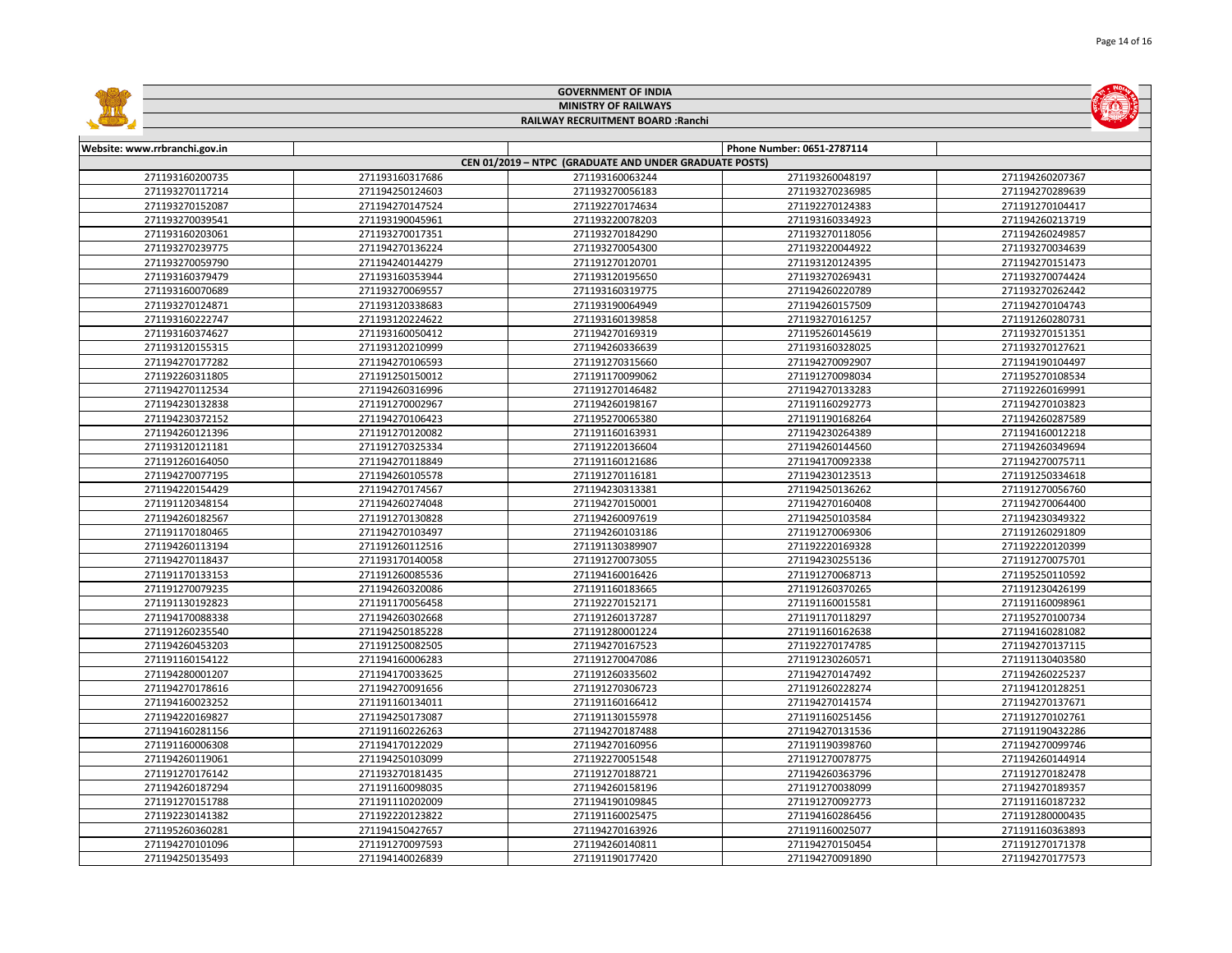|                                                        |                 | <b>GOVERNMENT OF INDIA</b>         |                            |                 |  |  |  |
|--------------------------------------------------------|-----------------|------------------------------------|----------------------------|-----------------|--|--|--|
| <b>MINISTRY OF RAILWAYS</b>                            |                 |                                    |                            |                 |  |  |  |
|                                                        |                 | RAILWAY RECRUITMENT BOARD : Ranchi |                            |                 |  |  |  |
|                                                        |                 |                                    |                            |                 |  |  |  |
| Website: www.rrbranchi.gov.in                          |                 |                                    | Phone Number: 0651-2787114 |                 |  |  |  |
| CEN 01/2019 - NTPC (GRADUATE AND UNDER GRADUATE POSTS) |                 |                                    |                            |                 |  |  |  |
| 271193160200735                                        | 271193160317686 | 271193160063244                    | 271193260048197            | 271194260207367 |  |  |  |
| 271193270117214                                        | 271194250124603 | 271193270056183                    | 271193270236985            | 271194270289639 |  |  |  |
| 271193270152087                                        | 271194270147524 | 271192270174634                    | 271192270124383            | 271191270104417 |  |  |  |
| 271193270039541                                        | 271193190045961 | 271193220078203                    | 271193160334923            | 271194260213719 |  |  |  |
| 271193160203061                                        | 271193270017351 | 271193270184290                    | 271193270118056            | 271194260249857 |  |  |  |
| 271193270239775                                        | 271194270136224 | 271193270054300                    | 271193220044922            | 271193270034639 |  |  |  |
| 271193270059790                                        | 271194240144279 | 271191270120701                    | 271193120124395            | 271194270151473 |  |  |  |
| 271193160379479                                        | 271193160353944 | 271193120195650                    | 271193270269431            | 271193270074424 |  |  |  |
| 271193160070689                                        | 271193270069557 | 271193160319775                    | 271194260220789            | 271193270262442 |  |  |  |
| 271193270124871                                        | 271193120338683 | 271193190064949                    | 271194260157509            | 271194270104743 |  |  |  |
| 271193160222747                                        | 271193120224622 | 271193160139858                    | 271193270161257            | 271191260280731 |  |  |  |
| 271193160374627                                        | 271193160050412 | 271194270169319                    | 271195260145619            | 271193270151351 |  |  |  |
| 271193120155315                                        | 271193120210999 | 271194260336639                    | 271193160328025            | 271193270127621 |  |  |  |
| 271194270177282                                        | 271194270106593 | 271191270315660                    | 271194270092907            | 271194190104497 |  |  |  |
| 271192260311805                                        | 271191250150012 | 271191170099062                    | 271191270098034            | 271195270108534 |  |  |  |
| 271194270112534                                        | 271194260316996 | 271191270146482                    | 271194270133283            | 271192260169991 |  |  |  |
| 271194230132838                                        | 271191270002967 | 271194260198167                    | 271191160292773            | 271194270103823 |  |  |  |
| 271194230372152                                        | 271194270106423 | 271195270065380                    | 271191190168264            | 271194260287589 |  |  |  |
| 271194260121396                                        | 271191270120082 | 271191160163931                    | 271194230264389            | 271194160012218 |  |  |  |
| 271193120121181                                        | 271191270325334 | 271191220136604                    | 271194260144560            | 271194260349694 |  |  |  |
| 271191260164050                                        | 271194270118849 | 271191160121686                    | 271194170092338            | 271194270075711 |  |  |  |
| 271194270077195                                        | 271194260105578 | 271191270116181                    | 271194230123513            | 271191250334618 |  |  |  |
| 271194220154429                                        | 271194270174567 | 271194230313381                    | 271194250136262            | 271191270056760 |  |  |  |
| 271191120348154                                        | 271194260274048 | 271194270150001                    | 271194270160408            | 271194270064400 |  |  |  |
| 271194260182567                                        | 271191270130828 | 271194260097619                    | 271194250103584            | 271194230349322 |  |  |  |
| 271191170180465                                        | 271194270103497 | 271194260103186                    | 271191270069306            | 271191260291809 |  |  |  |
| 271194260113194                                        | 271191260112516 | 271191130389907                    | 271192220169328            | 271192220120399 |  |  |  |
| 271194270118437                                        | 271193170140058 | 271191270073055                    | 271194230255136            | 271191270075701 |  |  |  |
| 271191170133153                                        | 271191260085536 | 271194160016426                    | 271191270068713            | 271195250110592 |  |  |  |
| 271191270079235                                        | 271194260320086 | 271191160183665                    | 271191260370265            | 271191230426199 |  |  |  |
| 271191130192823                                        | 271191170056458 | 271192270152171                    | 271191160015581            | 271191160098961 |  |  |  |
| 271194170088338                                        | 271194260302668 | 271191260137287                    | 271191170118297            | 271195270100734 |  |  |  |
| 271191260235540                                        | 271194250185228 | 271191280001224                    | 271191160162638            | 271194160281082 |  |  |  |
| 271194260453203                                        | 271191250082505 | 271194270167523                    | 271192270174785            | 271194270137115 |  |  |  |
| 271191160154122                                        | 271194160006283 | 271191270047086                    | 271191230260571            | 271191130403580 |  |  |  |
| 271194280001207                                        | 271194170033625 | 271191260335602                    | 271194270147492            | 271194260225237 |  |  |  |
| 271194270178616                                        | 271194270091656 | 271191270306723                    | 271191260228274            | 271194120128251 |  |  |  |
| 271194160023252                                        | 271191160134011 | 271191160166412                    | 271194270141574            | 271194270137671 |  |  |  |
| 271194220169827                                        | 271194250173087 | 271191130155978                    | 271191160251456            | 271191270102761 |  |  |  |
| 271194160281156                                        | 271191160226263 | 271194270187488                    | 271194270131536            | 271191190432286 |  |  |  |
| 271191160006308                                        | 271194170122029 | 271194270160956                    | 271191190398760            | 271194270099746 |  |  |  |
| 271194260119061                                        | 271194250103099 | 271192270051548                    | 271191270078775            | 271194260144914 |  |  |  |
| 271191270176142                                        | 271193270181435 | 271191270188721                    | 271194260363796            | 271191270182478 |  |  |  |
| 271194260187294                                        | 271191160098035 | 271194260158196                    | 271191270038099            | 271194270189357 |  |  |  |
| 271191270151788                                        | 271191110202009 | 271194190109845                    | 271191270092773            | 271191160187232 |  |  |  |
| 271192230141382                                        | 271192220123822 | 271191160025475                    | 271194160286456            | 271191280000435 |  |  |  |
| 271195260360281                                        | 271194150427657 | 271194270163926                    | 271191160025077            | 271191160363893 |  |  |  |
| 271194270101096                                        | 271191270097593 | 271194260140811                    | 271194270150454            | 271191270171378 |  |  |  |
| 271194250135493                                        | 271194140026839 | 271191190177420                    | 271194270091890            | 271194270177573 |  |  |  |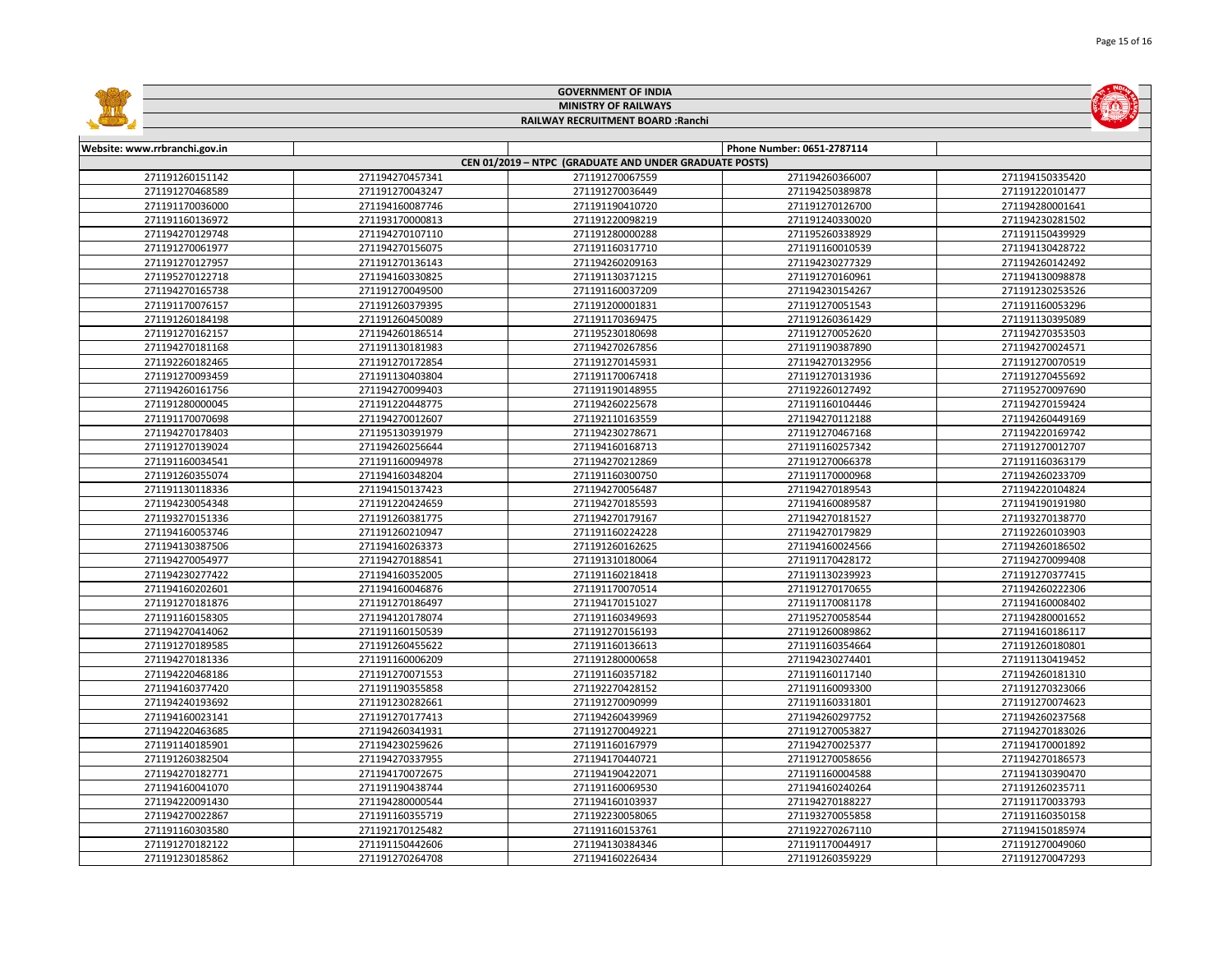|                               |                 | <b>GOVERNMENT OF INDIA</b>                             |                            |                 |
|-------------------------------|-----------------|--------------------------------------------------------|----------------------------|-----------------|
| <b>MINISTRY OF RAILWAYS</b>   |                 |                                                        |                            |                 |
|                               |                 | RAILWAY RECRUITMENT BOARD : Ranchi                     |                            |                 |
|                               |                 |                                                        |                            |                 |
| Website: www.rrbranchi.gov.in |                 |                                                        | Phone Number: 0651-2787114 |                 |
|                               |                 | CEN 01/2019 - NTPC (GRADUATE AND UNDER GRADUATE POSTS) |                            |                 |
| 271191260151142               | 271194270457341 | 271191270067559                                        | 271194260366007            | 271194150335420 |
| 271191270468589               | 271191270043247 | 271191270036449                                        | 271194250389878            | 271191220101477 |
| 271191170036000               | 271194160087746 | 271191190410720                                        | 271191270126700            | 271194280001641 |
| 271191160136972               | 271193170000813 | 271191220098219                                        | 271191240330020            | 271194230281502 |
| 271194270129748               | 271194270107110 | 271191280000288                                        | 271195260338929            | 271191150439929 |
| 271191270061977               | 271194270156075 | 271191160317710                                        | 271191160010539            | 271194130428722 |
| 271191270127957               | 271191270136143 | 271194260209163                                        | 271194230277329            | 271194260142492 |
| 271195270122718               | 271194160330825 | 271191130371215                                        | 271191270160961            | 271194130098878 |
| 271194270165738               | 271191270049500 | 271191160037209                                        | 271194230154267            | 271191230253526 |
| 271191170076157               | 271191260379395 | 271191200001831                                        | 271191270051543            | 271191160053296 |
| 271191260184198               | 271191260450089 | 271191170369475                                        | 271191260361429            | 271191130395089 |
| 271191270162157               | 271194260186514 | 271195230180698                                        | 271191270052620            | 271194270353503 |
| 271194270181168               | 271191130181983 | 271194270267856                                        | 271191190387890            | 271194270024571 |
| 271192260182465               | 271191270172854 | 271191270145931                                        | 271194270132956            | 271191270070519 |
| 271191270093459               | 271191130403804 | 271191170067418                                        | 271191270131936            | 271191270455692 |
| 271194260161756               | 271194270099403 | 271191190148955                                        | 271192260127492            | 271195270097690 |
| 271191280000045               | 271191220448775 | 271194260225678                                        | 271191160104446            | 271194270159424 |
| 271191170070698               | 271194270012607 | 271192110163559                                        | 271194270112188            | 271194260449169 |
| 271194270178403               | 271195130391979 | 271194230278671                                        | 271191270467168            | 271194220169742 |
| 271191270139024               | 271194260256644 | 271194160168713                                        | 271191160257342            | 271191270012707 |
| 271191160034541               | 271191160094978 | 271194270212869                                        | 271191270066378            | 271191160363179 |
| 271191260355074               | 271194160348204 | 271191160300750                                        | 271191170000968            | 271194260233709 |
| 271191130118336               | 271194150137423 | 271194270056487                                        | 271194270189543            | 271194220104824 |
| 271194230054348               | 271191220424659 | 271194270185593                                        | 271194160089587            | 271194190191980 |
| 271193270151336               | 271191260381775 | 271194270179167                                        | 271194270181527            | 271193270138770 |
| 271194160053746               | 271191260210947 | 271191160224228                                        | 271194270179829            | 271192260103903 |
| 271194130387506               | 271194160263373 | 271191260162625                                        | 271194160024566            | 271194260186502 |
| 271194270054977               | 271194270188541 | 271191310180064                                        | 271191170428172            | 271194270099408 |
| 271194230277422               | 271194160352005 | 271191160218418                                        | 271191130239923            | 271191270377415 |
| 271194160202601               | 271194160046876 | 271191170070514                                        | 271191270170655            | 271194260222306 |
| 271191270181876               | 271191270186497 | 271194170151027                                        | 271191170081178            | 271194160008402 |
| 271191160158305               | 271194120178074 | 271191160349693                                        | 271195270058544            | 271194280001652 |
| 271194270414062               | 271191160150539 | 271191270156193                                        | 271191260089862            | 271194160186117 |
| 271191270189585               | 271191260455622 | 271191160136613                                        | 271191160354664            | 271191260180801 |
| 271194270181336               | 271191160006209 | 271191280000658                                        | 271194230274401            | 271191130419452 |
| 271194220468186               | 271191270071553 | 271191160357182                                        | 271191160117140            | 271194260181310 |
| 271194160377420               | 271191190355858 | 271192270428152                                        | 271191160093300            | 271191270323066 |
| 271194240193692               | 271191230282661 | 271191270090999                                        | 271191160331801            | 271191270074623 |
| 271194160023141               | 271191270177413 | 271194260439969                                        | 271194260297752            | 271194260237568 |
| 271194220463685               | 271194260341931 | 271191270049221                                        | 271191270053827            | 271194270183026 |
| 271191140185901               | 271194230259626 | 271191160167979                                        | 271194270025377            | 271194170001892 |
| 271191260382504               | 271194270337955 | 271194170440721                                        | 271191270058656            | 271194270186573 |
| 271194270182771               | 271194170072675 | 271194190422071                                        | 271191160004588            | 271194130390470 |
| 271194160041070               | 271191190438744 | 271191160069530                                        | 271194160240264            | 271191260235711 |
| 271194220091430               | 271194280000544 | 271194160103937                                        | 271194270188227            | 271191170033793 |
| 271194270022867               | 271191160355719 | 271192230058065                                        | 271193270055858            | 271191160350158 |
| 271191160303580               | 271192170125482 | 271191160153761                                        | 271192270267110            | 271194150185974 |
| 271191270182122               | 271191150442606 | 271194130384346                                        | 271191170044917            | 271191270049060 |
| 271191230185862               | 271191270264708 | 271194160226434                                        | 271191260359229            | 271191270047293 |